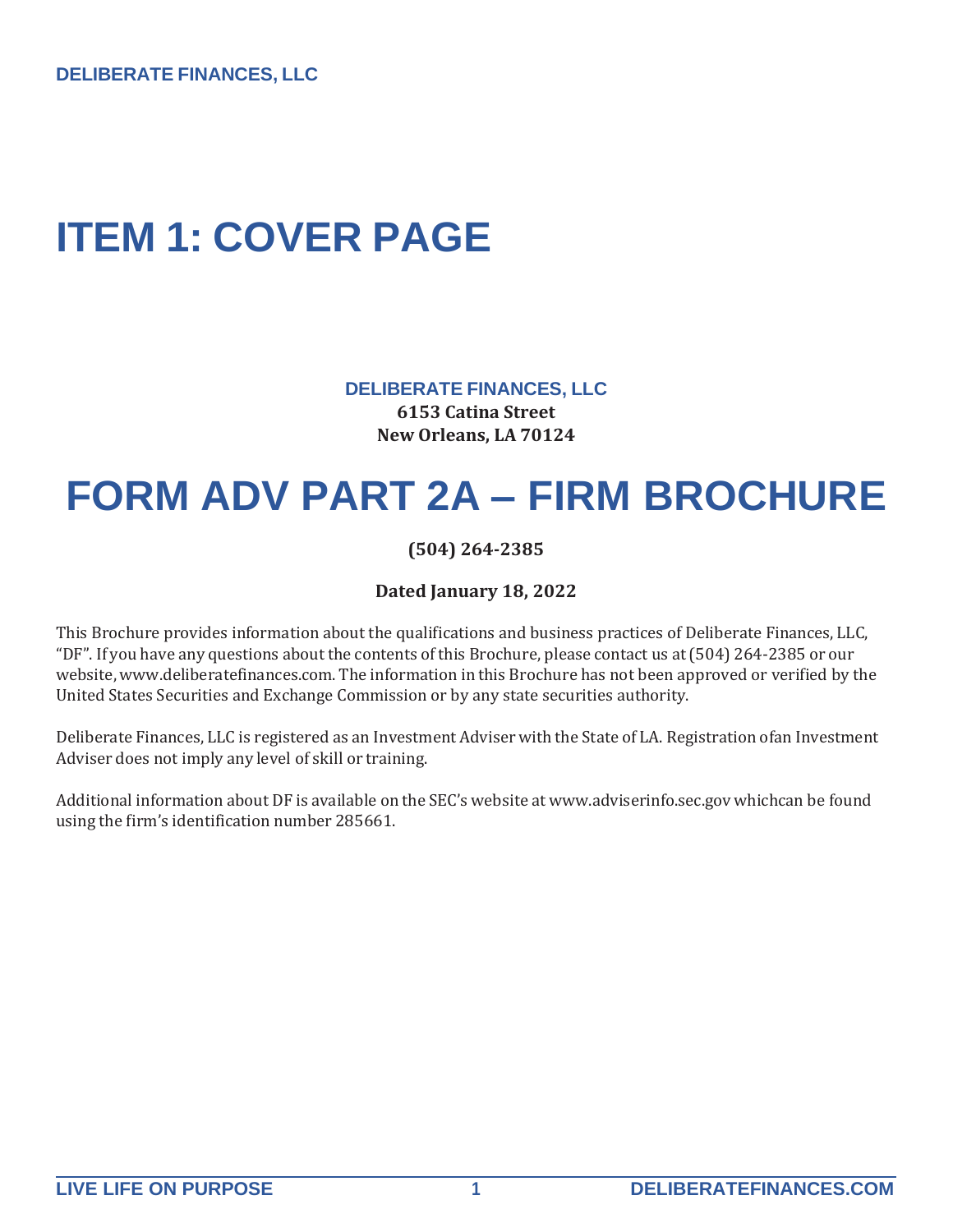**DELIBERATE FINANCES, LLC**

### <span id="page-0-0"></span>**ITEM 1: COVER PAGE**

**DELIBERATE FINANCES, LLC 6153 Catina Street New Orleans, LA 70124**

# **FORM ADV PART 2A – FIRM BROCHURE**

**(504) 264-2385**

**Dated January 18, 2022**

This Brochure provides information about the qualifications and business practices of Deliberate Finances, LLC, "DF". If you have any questions about the contents ofthis Brochure, please contact us at(504) 264-2385 or our website, [www.deliberatefinances.com.](http://www.deliberatefinances.com/) The information in this Brochure has not been approved or verified by the United States Securities and Exchange Commission or by any state securities authority.

Deliberate Finances, LLC is registered as an Investment Adviser with the State of LA. Registration ofan Investment Adviser does not imply any level of skill or training.

Additional information about DF is available on the SEC's website at [www.adviserinfo.sec.gov](http://www.adviserinfo.sec.gov/) whichcan be found using the firm's identification number 285661.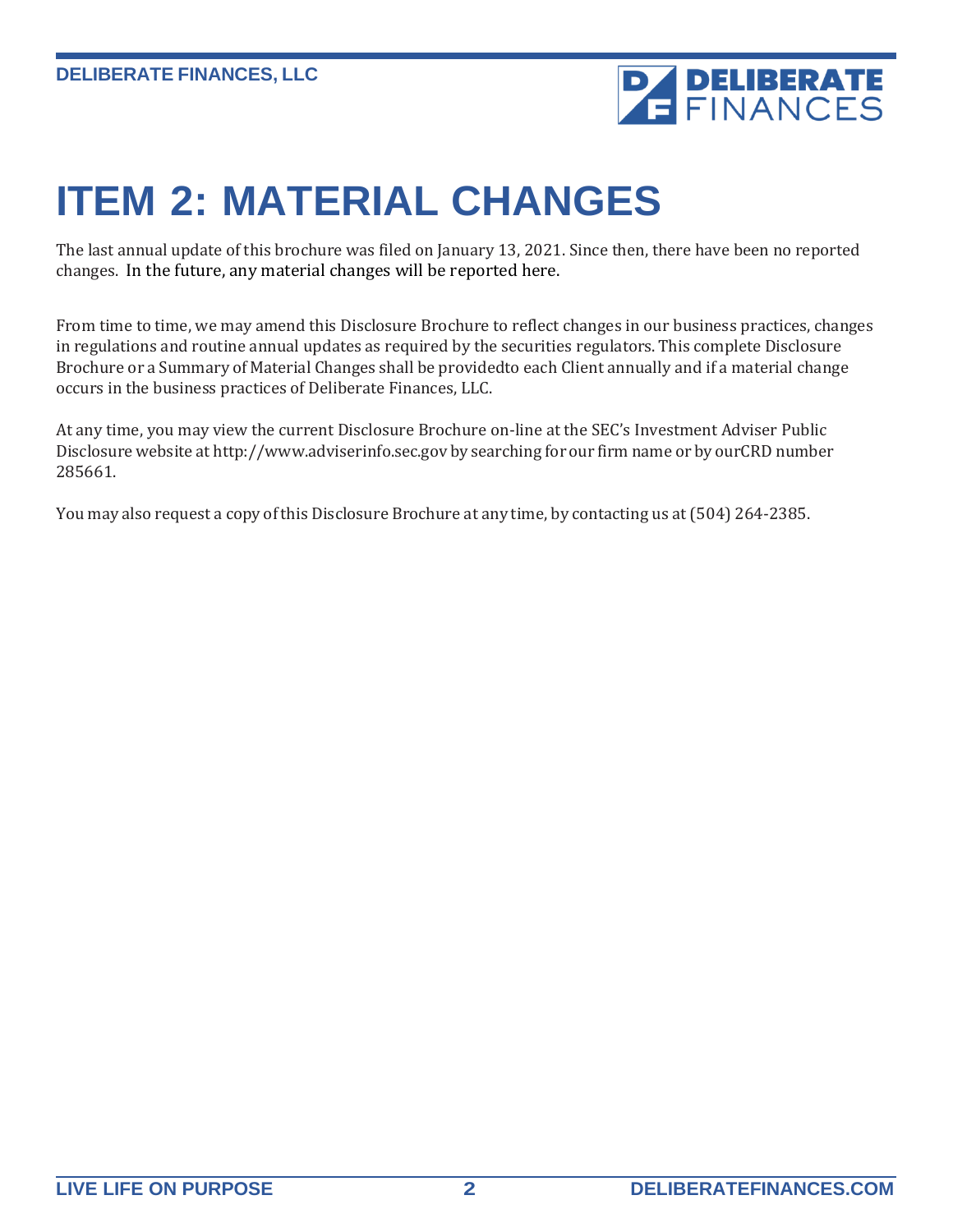

# <span id="page-1-0"></span>**ITEM 2: MATERIAL CHANGES**

The last annual update of this brochure was filed on January 13, 2021. Since then, there have been no reported changes. In the future, any material changes will be reported here.

From time to time, we may amend this Disclosure Brochure to reflect changes in our business practices, changes in regulations and routine annual updates as required by the securities regulators. This complete Disclosure Brochure or a Summary of Material Changes shall be providedto each Client annually and if a material change occurs in the business practices of Deliberate Finances, LLC.

At any time, you may view the current Disclosure Brochure on-line at the SEC's Investment Adviser Public Disclosure website at [http://www.adviserinfo.sec.gov](http://www.adviserinfo.sec.gov/) by searching for our firm name or by ourCRD number 285661.

You may also request a copy of this Disclosure Brochure at any time, by contacting us at (504) 264-2385.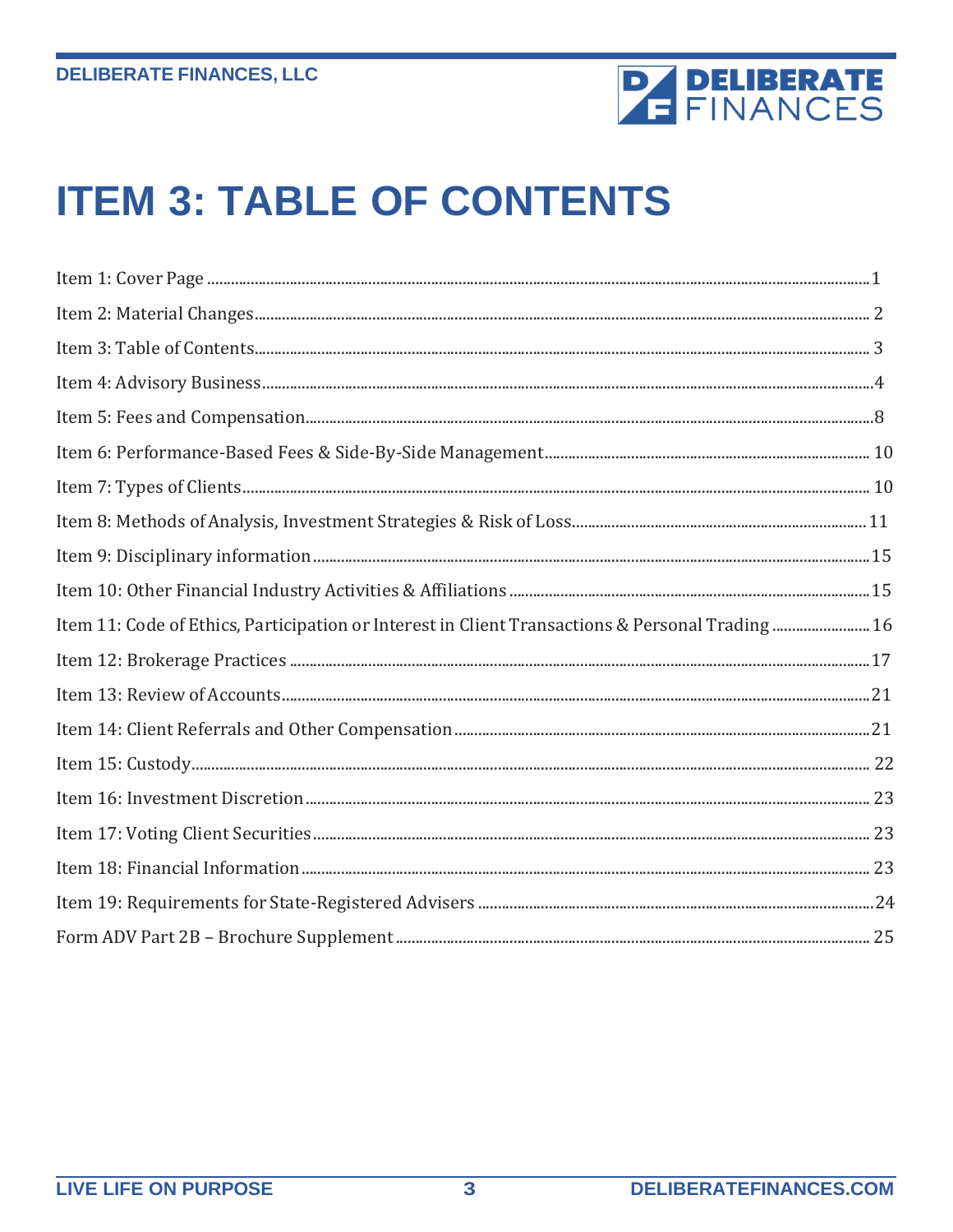

# <span id="page-2-0"></span>**ITEM 3: TABLE OF CONTENTS**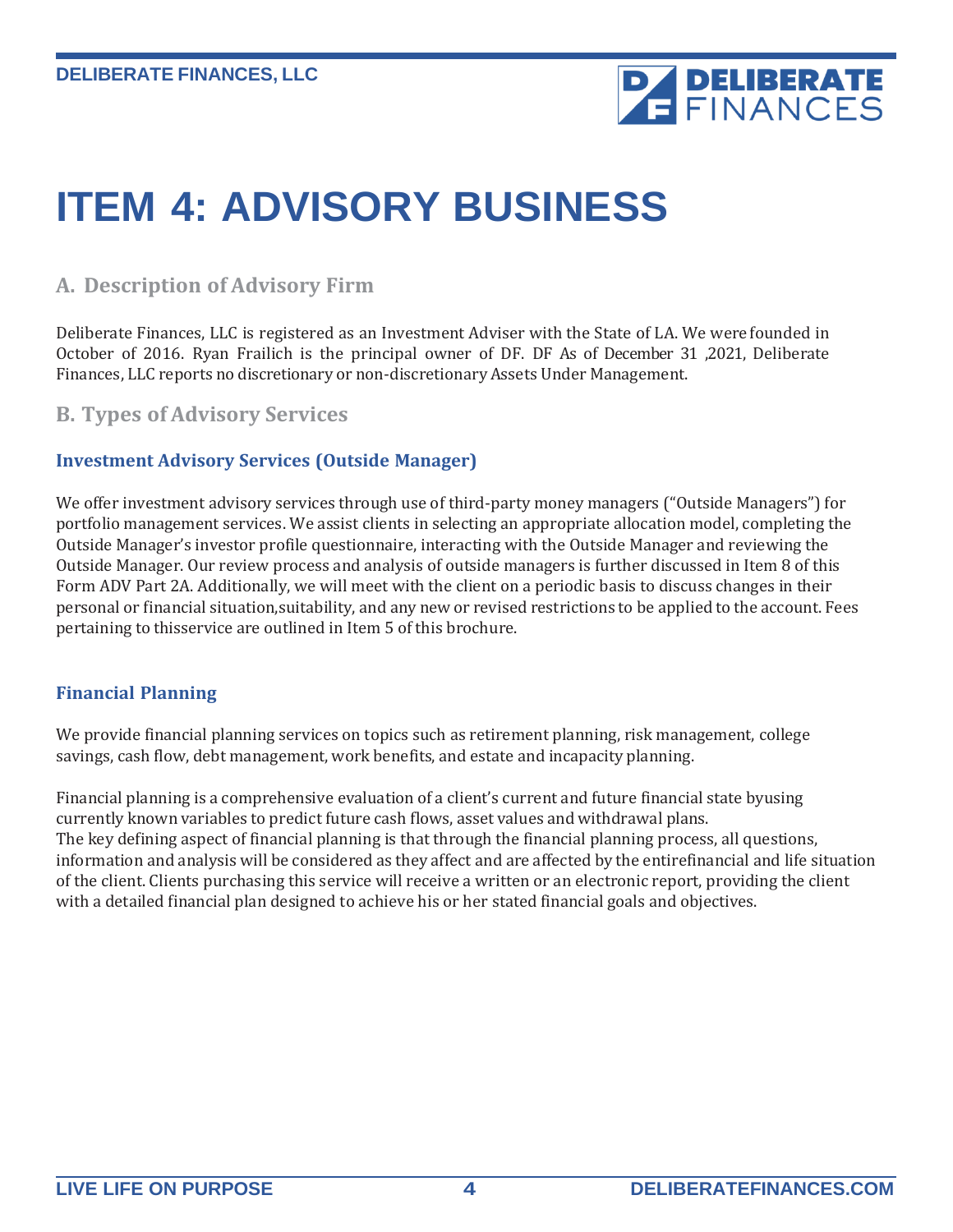

# <span id="page-3-0"></span>**ITEM 4: ADVISORY BUSINESS**

### **A. Description of Advisory Firm**

Deliberate Finances, LLC is registered as an Investment Adviser with the State of LA. We were founded in October of 2016. Ryan Frailich is the principal owner of DF. DF As of December 31 ,2021, Deliberate Finances, LLC reports no discretionary or non-discretionary Assets Under Management.

### **B. Types of Advisory Services**

#### **Investment Advisory Services (Outside Manager)**

We offer investment advisory services through use of third-party money managers ("Outside Managers") for portfolio management services. We assist clients in selecting an appropriate allocation model, completing the Outside Manager's investor profile questionnaire, interacting with the Outside Manager and reviewing the Outside Manager. Our review process and analysis of outside managers is further discussed in Item 8 of this Form ADV Part 2A. Additionally, we will meet with the client on a periodic basis to discuss changes in their personal or financial situation,suitability, and any new or revised restrictions to be applied to the account. Fees pertaining to thisservice are outlined in Item 5 of this brochure.

#### **Financial Planning**

We provide financial planning services on topics such as retirement planning, risk management, college savings, cash flow, debt management, work benefits, and estate and incapacity planning.

Financial planning is a comprehensive evaluation of a client's current and future financial state byusing currently known variables to predict future cash flows, asset values and withdrawal plans. The key defining aspect of financial planning is that through the financial planning process, all questions, information and analysis will be considered as they affect and are affected by the entirefinancial and life situation of the client. Clients purchasing this service will receive a written or an electronic report, providing the client with a detailed financial plan designed to achieve his or her stated financial goals and objectives.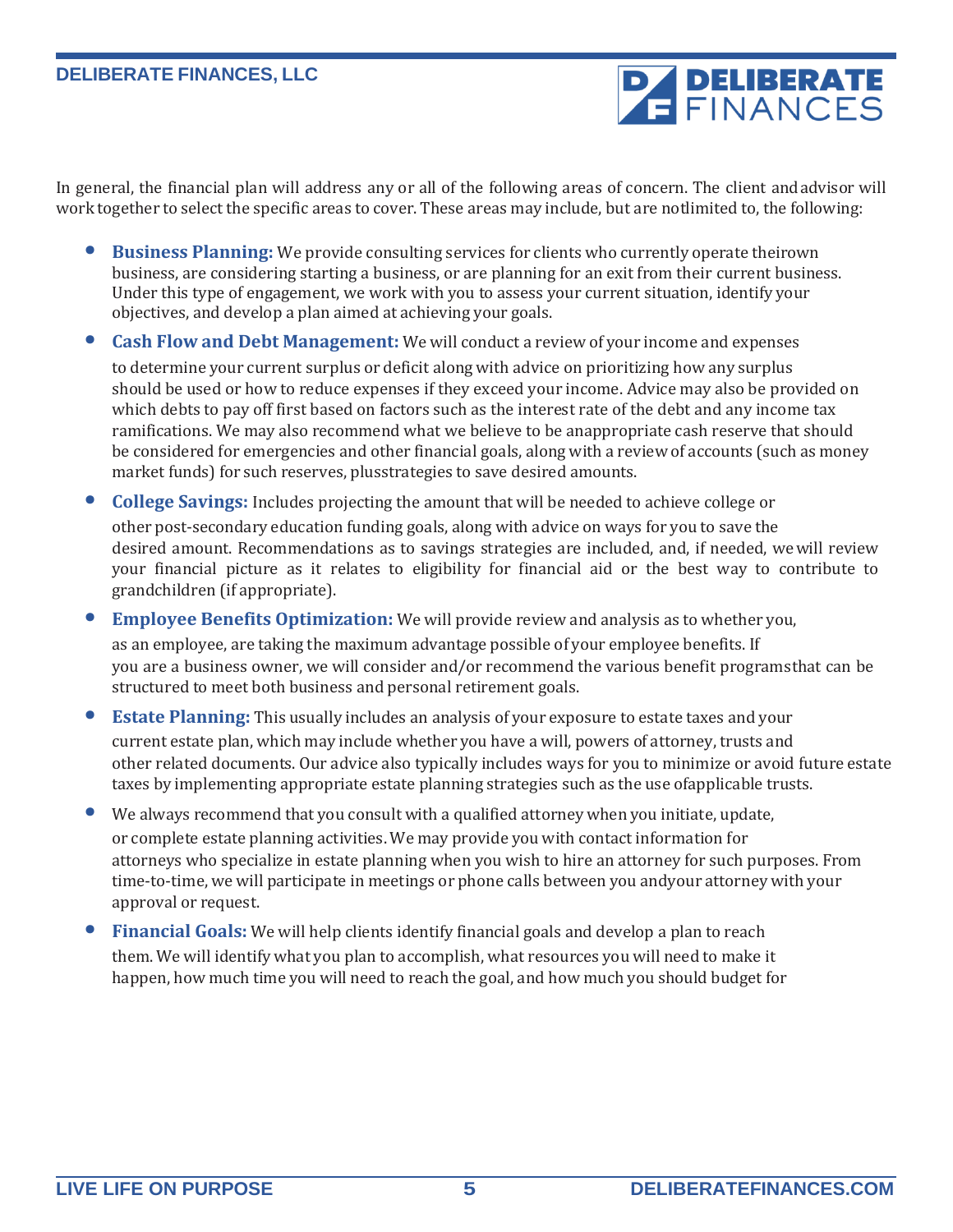**PA DELIBERATE** 

In general, the financial plan will address any or all of the following areas of concern. The client andadvisor will work together to select the specific areas to cover. These areas may include, but are notlimited to, the following:

- **Business Planning:** We provide consulting services for clients who currently operate theirown business, are considering starting a business, or are planning for an exit from their current business. Under this type of engagement, we work with you to assess your current situation, identify your objectives, and develop a plan aimed at achieving your goals.
- **Cash Flow and Debt Management:** We will conduct a review of your income and expenses

to determine your current surplus or deficit along with advice on prioritizing how any surplus should be used or how to reduce expenses if they exceed your income. Advice may also be provided on which debts to pay off first based on factors such as the interest rate of the debt and any income tax ramifications. We may also recommend what we believe to be anappropriate cash reserve that should be considered for emergencies and other financial goals, along with a review of accounts (such as money market funds) for such reserves, plusstrategies to save desired amounts.

- **College Savings:** Includes projecting the amount that will be needed to achieve college or other post-secondary education funding goals, along with advice on ways for you to save the desired amount. Recommendations as to savings strategies are included, and, if needed, wewill review your financial picture as it relates to eligibility for financial aid or the best way to contribute to grandchildren (if appropriate).
- **Employee Benefits Optimization:** We will provide review and analysis as to whether you, as an employee, are taking the maximum advantage possible of your employee benefits. If you are a business owner, we will consider and/or recommend the various benefit programsthat can be structured to meet both business and personal retirement goals.
- **Estate Planning:** This usually includes an analysis of your exposure to estate taxes and your current estate plan, which may include whether you have a will, powers of attorney, trusts and other related documents. Our advice also typically includes ways for you to minimize or avoid future estate taxes by implementing appropriate estate planning strategies such as the use ofapplicable trusts.
- We always recommend that you consult with <sup>a</sup> qualified attorney when you initiate, update, or complete estate planning activities. We may provide you with contact information for attorneys who specialize in estate planning when you wish to hire an attorney for such purposes. From time-to-time, we will participate in meetings or phone calls between you andyour attorney with your approval or request.
- **Financial Goals:** We will help clients identify financial goals and develop a plan to reach them. We will identify what you plan to accomplish, what resources you will need to make it happen, how much time you will need to reach the goal, and how much you should budget for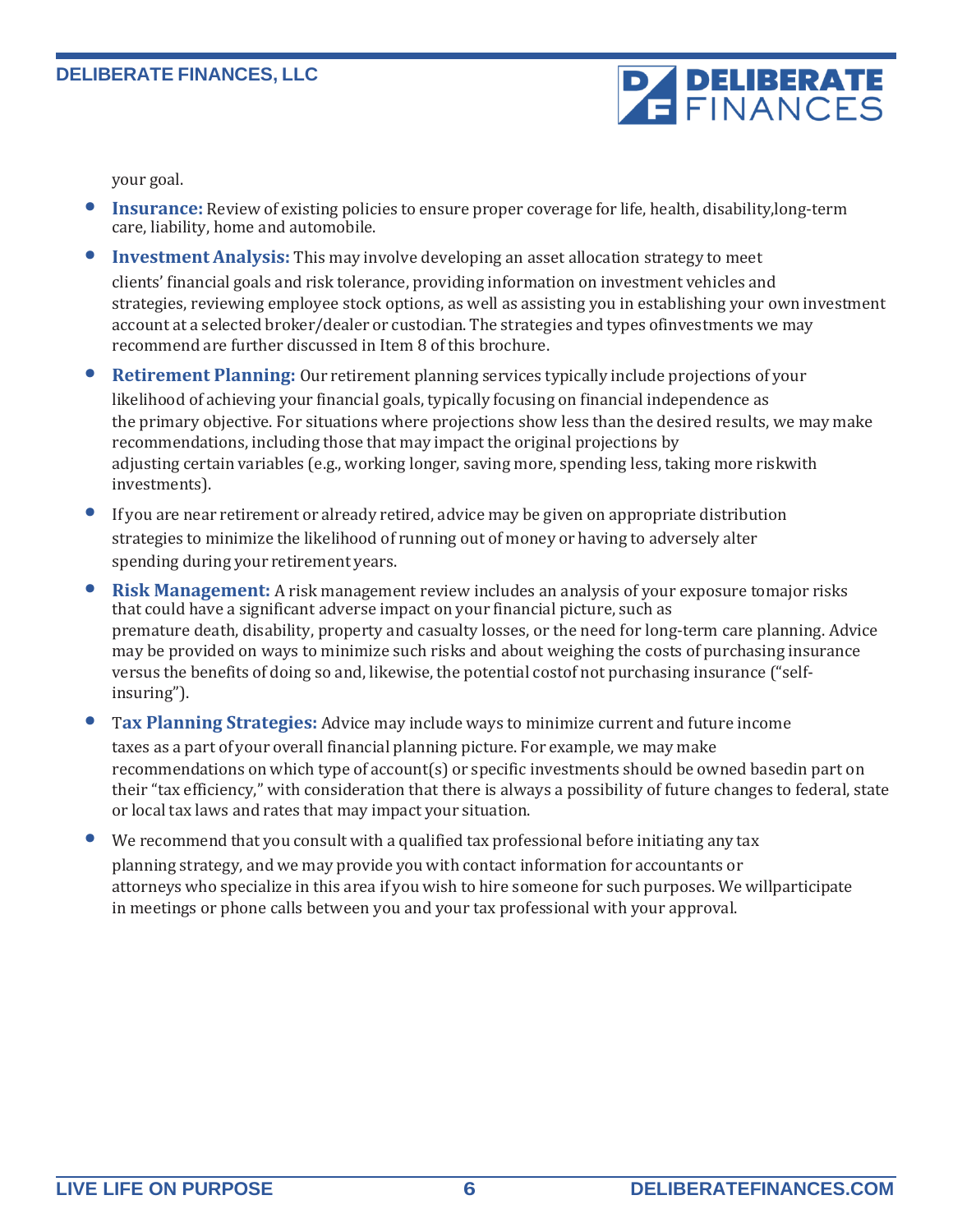

your goal.

- **Insurance:** Review of existing policies to ensure proper coverage for life, health, disability,long-term care, liability, home and automobile.
- **Investment Analysis:** This may involve developing an asset allocation strategy to meet clients' financial goals and risk tolerance, providing information on investment vehicles and strategies, reviewing employee stock options, as well as assisting you in establishing your own investment account at a selected broker/dealer or custodian. The strategies and types ofinvestments we may
- **Retirement Planning:** Our retirement planning services typically include projections of your likelihood of achieving your financial goals, typically focusing on financial independence as the primary objective. For situations where projections show less than the desired results, we may make recommendations, including those that may impact the original projections by adjusting certain variables (e.g., working longer, saving more, spending less, taking more riskwith investments).
- If you are near retirement or already retired, advice may be given on appropriate distribution strategies to minimize the likelihood of running out of money or having to adversely alter spending during your retirement years.

recommend are further discussed in Item 8 of this brochure.

- **Risk Management:** A risk management review includes an analysis of your exposure tomajor risks that could have a significant adverse impact on your financial picture, such as premature death, disability, property and casualty losses, or the need for long-term care planning. Advice may be provided on ways to minimize such risks and about weighing the costs of purchasing insurance versus the benefits of doing so and, likewise, the potential costof not purchasing insurance ("selfinsuring").
- <sup>T</sup>**ax Planning Strategies:** Advice may include ways to minimize current and future income taxes as a part of your overall financial planning picture. For example, we may make recommendations on which type of account(s) or specific investments should be owned basedin part on their "tax efficiency," with consideration that there is always a possibility of future changes to federal, state or local tax laws and rates that may impact your situation.
- We recommend that you consult with <sup>a</sup> qualified tax professional before initiating any tax planning strategy, and we may provide you with contact information for accountants or attorneys who specialize in this area if you wish to hire someone for such purposes. We willparticipate in meetings or phone calls between you and your tax professional with your approval.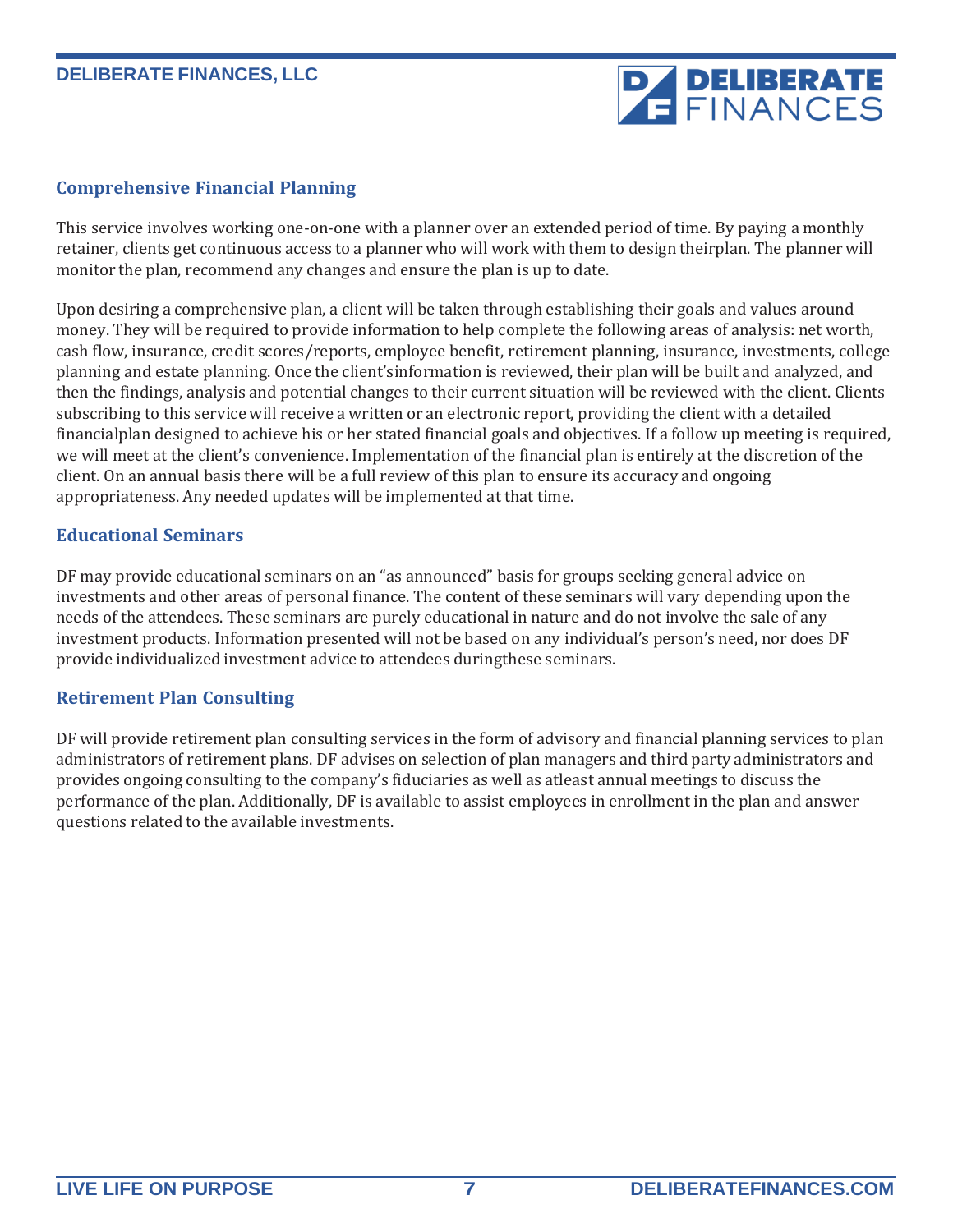# **PA DELIBERATE**

#### **Comprehensive Financial Planning**

This service involves working one-on-one with a planner over an extended period of time. By paying a monthly retainer, clients get continuous access to a planner who will work with them to design theirplan. The planner will monitor the plan, recommend any changes and ensure the plan is up to date.

Upon desiring a comprehensive plan, a client will be taken through establishing their goals and values around money. They will be required to provide information to help complete the following areas of analysis: net worth, cash flow, insurance, credit scores/reports, employee benefit, retirement planning, insurance, investments, college planning and estate planning. Once the client'sinformation is reviewed, their plan will be built and analyzed, and then the findings, analysis and potential changes to their current situation will be reviewed with the client. Clients subscribing to this service will receive a written or an electronic report, providing the client with a detailed financialplan designed to achieve his or her stated financial goals and objectives. If a follow up meeting is required, we will meet at the client's convenience. Implementation of the financial plan is entirely at the discretion of the client. On an annual basis there will be a full review of this plan to ensure its accuracy and ongoing appropriateness. Any needed updates will be implemented at that time.

#### **Educational Seminars**

DF may provide educational seminars on an "as announced" basis for groups seeking general advice on investments and other areas of personal finance. The content of these seminars will vary depending upon the needs of the attendees. These seminars are purely educational in nature and do not involve the sale of any investment products. Information presented will not be based on any individual's person's need, nor does DF provide individualized investment advice to attendees duringthese seminars.

#### **Retirement Plan Consulting**

DF will provide retirement plan consulting services in the form of advisory and financial planning services to plan administrators of retirement plans. DF advises on selection of plan managers and third party administrators and provides ongoing consulting to the company's fiduciaries as well as atleast annual meetings to discuss the performance of the plan. Additionally, DF is available to assist employees in enrollment in the plan and answer questions related to the available investments.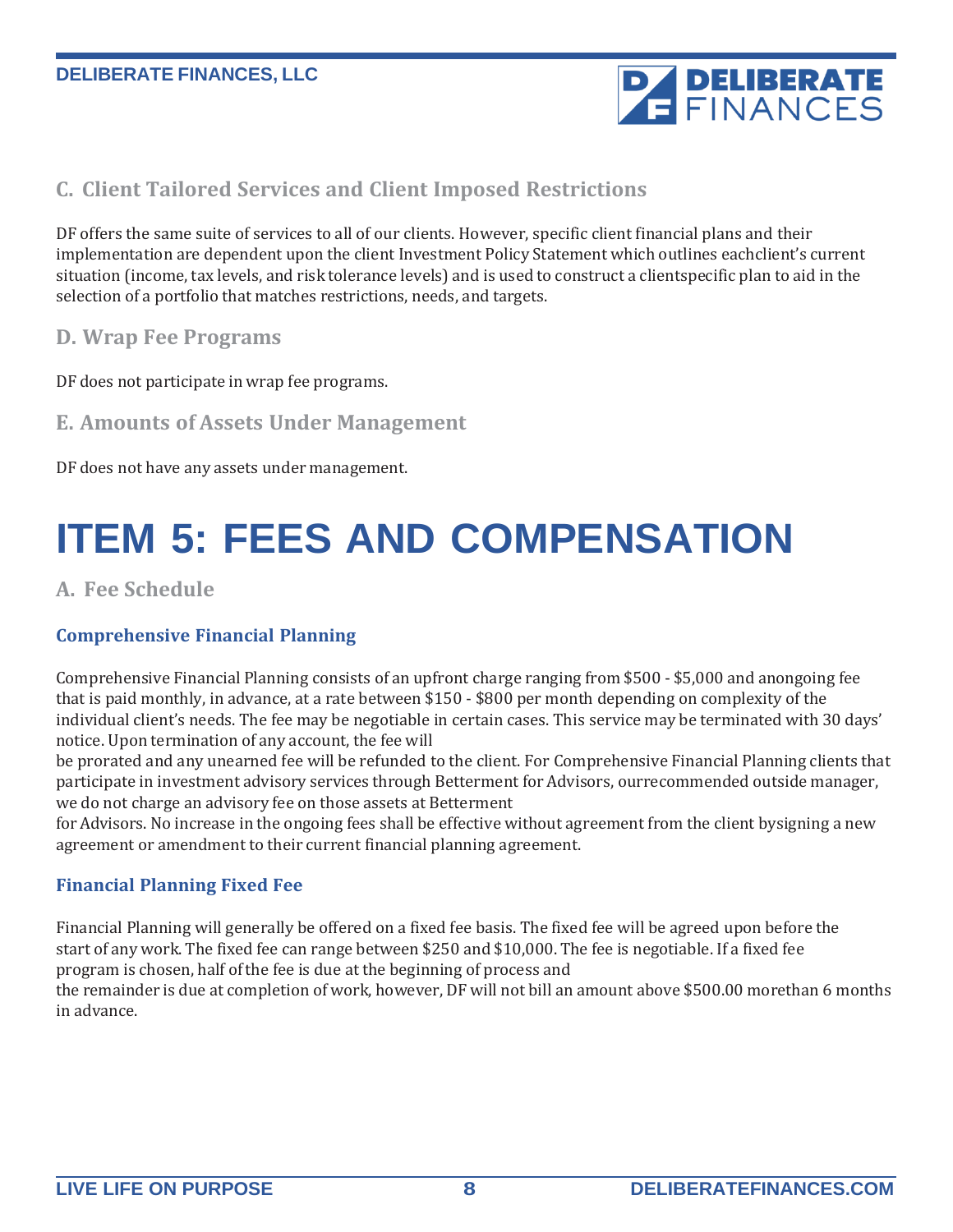

### **C. Client Tailored Services and Client Imposed Restrictions**

DF offers the same suite of services to all of our clients. However, specific client financial plans and their implementation are dependent upon the client Investment Policy Statement which outlines eachclient's current situation (income, tax levels, and risk tolerance levels) and is used to construct a clientspecific plan to aid in the selection of a portfolio that matches restrictions, needs, and targets.

#### **D. Wrap Fee Programs**

DF does not participate in wrap fee programs.

### **E. Amounts of Assets Under Management**

DF does not have any assets under management.

# <span id="page-7-0"></span>**ITEM 5: FEES AND COMPENSATION**

**A. Fee Schedule**

#### **Comprehensive Financial Planning**

Comprehensive Financial Planning consists of an upfront charge ranging from \$500 - \$5,000 and anongoing fee that is paid monthly, in advance, at a rate between \$150 - \$800 per month depending on complexity of the individual client's needs. The fee may be negotiable in certain cases. This service may be terminated with 30 days' notice. Upon termination of any account, the fee will

be prorated and any unearned fee will be refunded to the client. For Comprehensive Financial Planning clients that participate in investment advisory services through Betterment for Advisors, ourrecommended outside manager, we do not charge an advisory fee on those assets at Betterment

for Advisors. No increase in the ongoing fees shall be effective without agreement from the client bysigning a new agreement or amendment to their current financial planning agreement.

#### **Financial Planning Fixed Fee**

Financial Planning will generally be offered on a fixed fee basis. The fixed fee will be agreed upon before the start of any work. The fixed fee can range between \$250 and \$10,000. The fee is negotiable. If a fixed fee program is chosen, half ofthe fee is due at the beginning of process and

the remainder is due at completion ofwork, however, DF will not bill an amount above \$500.00 morethan 6 months in advance.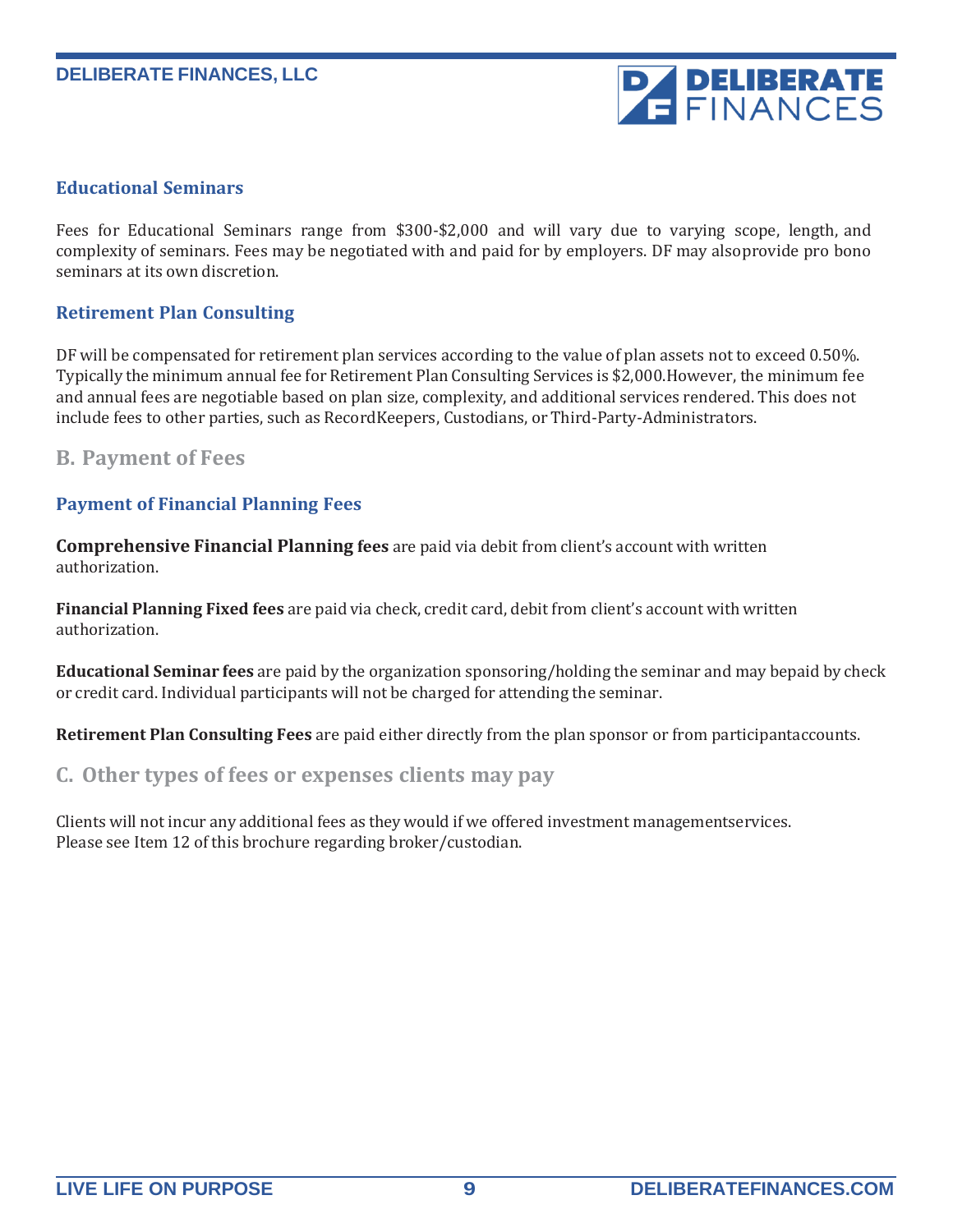

#### **Educational Seminars**

Fees for Educational Seminars range from \$300-\$2,000 and will vary due to varying scope, length, and complexity of seminars. Fees may be negotiated with and paid for by employers. DF may alsoprovide pro bono seminars at its own discretion.

#### **Retirement Plan Consulting**

DF will be compensated for retirement plan services according to the value of plan assets not to exceed 0.50%. Typically the minimum annual fee for Retirement Plan Consulting Services is \$2,000.However, the minimum fee and annual fees are negotiable based on plan size, complexity, and additional services rendered. This does not include fees to other parties, such as RecordKeepers, Custodians, or Third-Party-Administrators.

#### **B. Payment of Fees**

#### **Payment of Financial Planning Fees**

**Comprehensive Financial Planning fees** are paid via debit from client's account with written authorization.

**Financial Planning Fixed fees** are paid via check, credit card, debit from client's account with written authorization.

**Educational Seminar fees** are paid by the organization sponsoring/holding the seminar and may bepaid by check or credit card. Individual participants will not be charged for attending the seminar.

**Retirement Plan Consulting Fees** are paid either directly from the plan sponsor or from participantaccounts.

#### **C. Other types of fees or expenses clients may pay**

Clients will not incur any additional fees as they would ifwe offered investment managementservices. Please see Item 12 of this brochure regarding broker/custodian.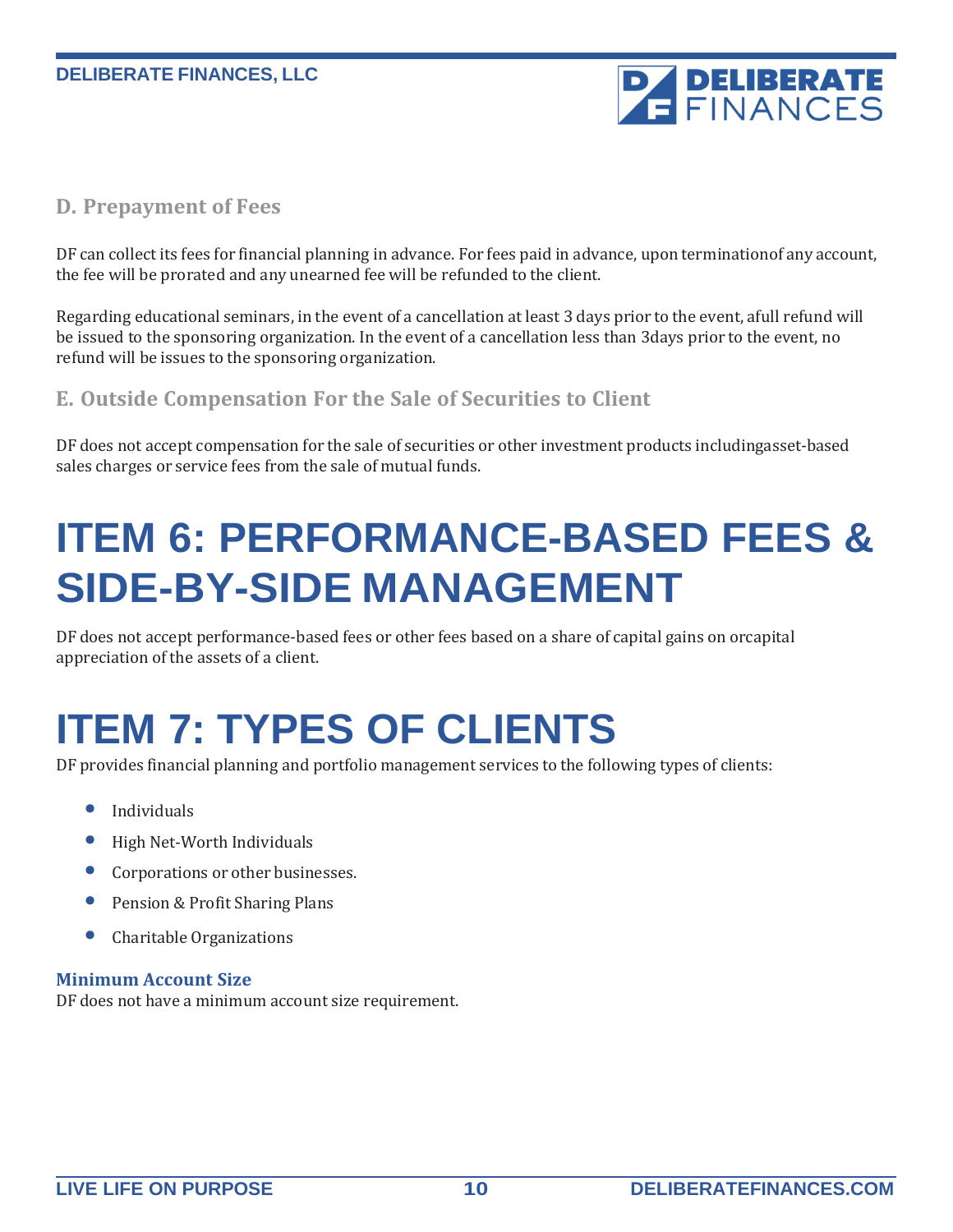

### **D. Prepayment of Fees**

DF can collect its fees for financial planning in advance. For fees paid in advance, upon terminationof any account, the fee will be prorated and any unearned fee will be refunded to the client.

Regarding educational seminars, in the event of a cancellation at least 3 days prior to the event, afull refund will be issued to the sponsoring organization. In the event of a cancellation less than 3days prior to the event, no refund will be issues to the sponsoring organization.

### **E. Outside Compensation For the Sale of Securities to Client**

DF does not accept compensation for the sale of securities or other investment products includingasset-based sales charges or service fees from the sale of mutual funds.

# <span id="page-9-0"></span>**ITEM 6: PERFORMANCE-BASED FEES & SIDE-BY-SIDE MANAGEMENT**

DF does not accept performance-based fees or other fees based on a share of capital gains on orcapital appreciation of the assets of a client.

# <span id="page-9-1"></span>**ITEM 7: TYPES OF CLIENTS**

DF provides financial planning and portfolio management services to the following types of clients:

- **Individuals**
- High Net-Worth Individuals
- Corporations or other businesses.
- Pension & Profit Sharing Plans
- Charitable Organizations

#### **Minimum Account Size**

DF does not have a minimum account size requirement.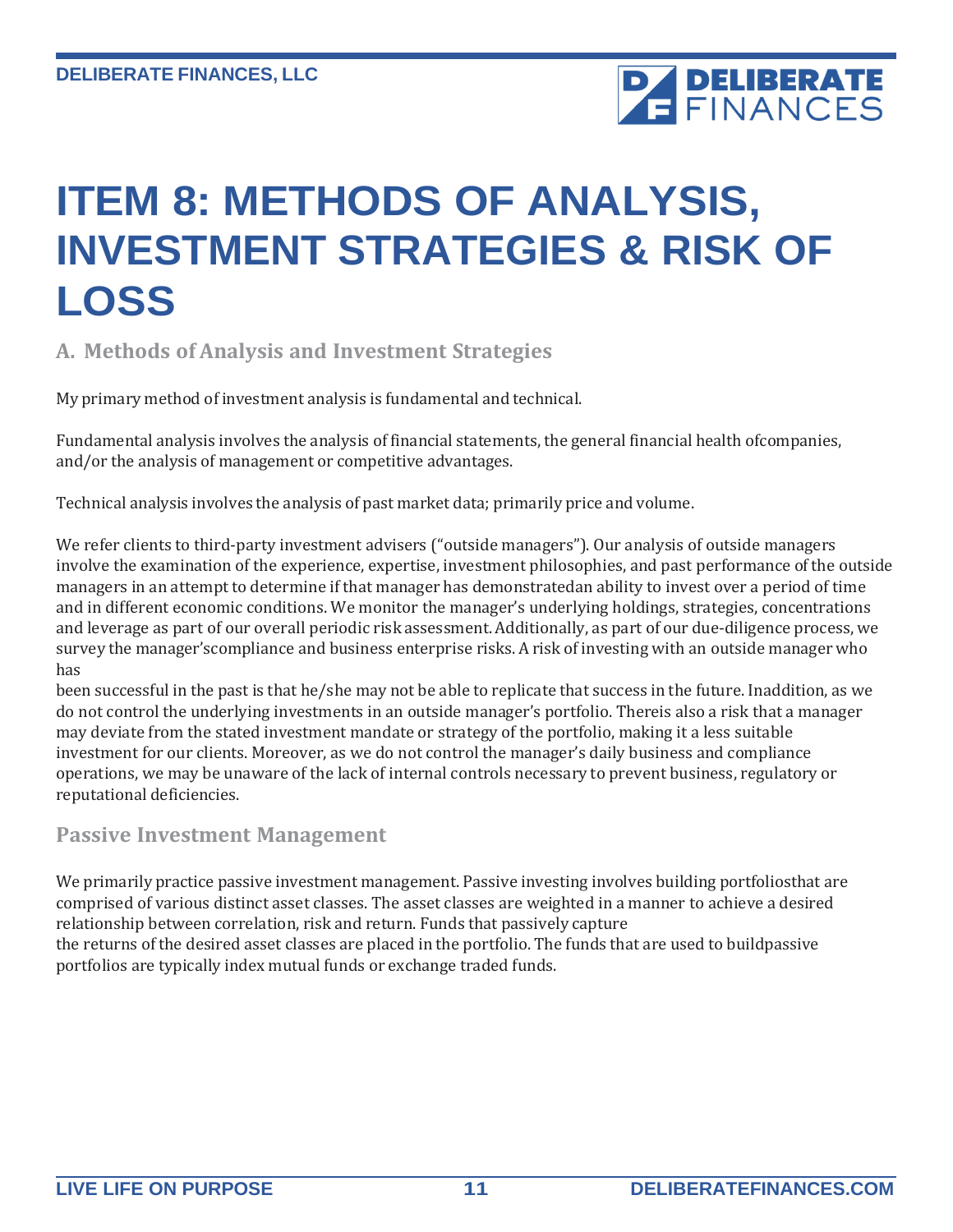

### <span id="page-10-0"></span>**ITEM 8: METHODS OF ANALYSIS, INVESTMENT STRATEGIES & RISK OF LOSS**

### **A. Methods of Analysis and Investment Strategies**

My primary method of investment analysis is fundamental and technical.

Fundamental analysis involves the analysis of financial statements, the general financial health ofcompanies, and/or the analysis of management or competitive advantages.

Technical analysis involves the analysis of past market data; primarily price and volume.

We refer clients to third-party investment advisers ("outside managers"). Our analysis of outside managers involve the examination of the experience, expertise, investment philosophies, and past performance of the outside managers in an attempt to determine ifthat manager has demonstratedan ability to invest over a period of time and in different economic conditions. We monitor the manager's underlying holdings, strategies, concentrations and leverage as part of our overall periodic risk assessment. Additionally, as part of our due-diligence process, we survey the manager'scompliance and business enterprise risks. A risk of investing with an outside manager who has

been successful in the past is that he/she may not be able to replicate that success in the future. Inaddition, as we do not control the underlying investments in an outside manager's portfolio. Thereis also a risk that a manager may deviate from the stated investment mandate or strategy of the portfolio, making it a less suitable investment for our clients. Moreover, as we do not control the manager's daily business and compliance operations, we may be unaware of the lack of internal controls necessary to prevent business, regulatory or reputational deficiencies.

### **Passive Investment Management**

We primarily practice passive investment management. Passive investing involves building portfoliosthat are comprised of various distinct asset classes. The asset classes are weighted in a manner to achieve a desired relationship between correlation, risk and return. Funds that passively capture the returns ofthe desired asset classes are placed in the portfolio. The funds that are used to buildpassive portfolios are typically index mutual funds or exchange traded funds.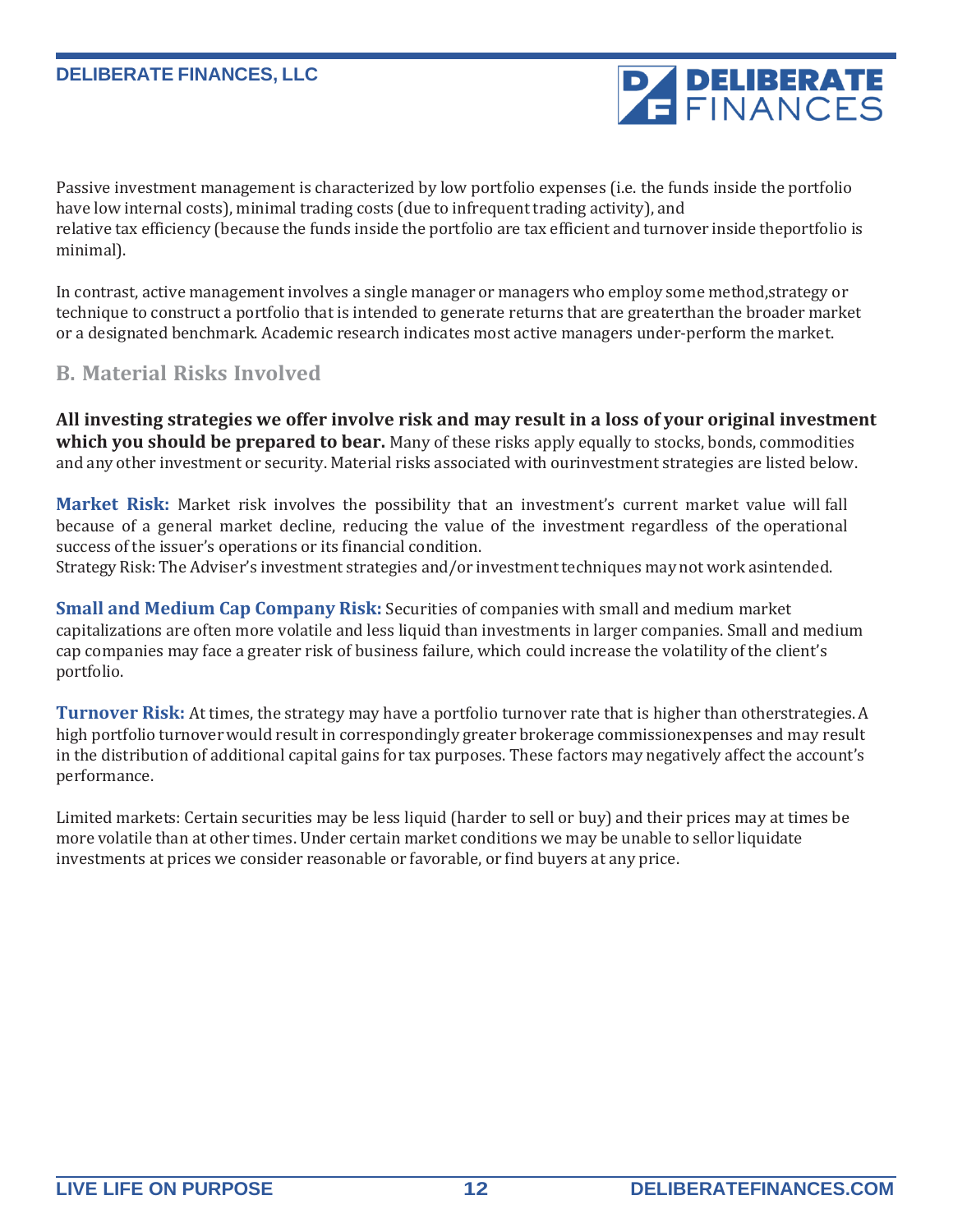Passive investment management is characterized by low portfolio expenses (i.e. the funds inside the portfolio have low internal costs), minimal trading costs (due to infrequent trading activity), and relative tax efficiency (because the funds inside the portfolio are tax efficient and turnover inside theportfolio is minimal).

In contrast, active management involves a single manager or managers who employ some method,strategy or technique to construct a portfolio that is intended to generate returns that are greaterthan the broader market or a designated benchmark. Academic research indicates most active managers under-perform the market.

### **B. Material Risks Involved**

**All investing strategies we offer involve risk and may result in a loss of your original investment which you should be prepared to bear.** Many of these risks apply equally to stocks, bonds, commodities and any other investment or security. Material risks associated with ourinvestment strategies are listed below.

**Market Risk:** Market risk involves the possibility that an investment's current market value will fall because of a general market decline, reducing the value of the investment regardless of the operational success of the issuer's operations or its financial condition.

Strategy Risk: The Adviser's investment strategies and/or investment techniques may not work asintended.

**Small and Medium Cap Company Risk:** Securities of companies with small and medium market capitalizations are often more volatile and less liquid than investments in larger companies. Small and medium cap companies may face a greater risk of business failure, which could increase the volatility of the client's portfolio.

**Turnover Risk:** At times, the strategy may have a portfolio turnover rate that is higher than otherstrategies. A high portfolio turnoverwould result in correspondingly greater brokerage commissionexpenses and may result in the distribution of additional capital gains for tax purposes. These factors may negatively affect the account's performance.

Limited markets: Certain securities may be less liquid (harder to sell or buy) and their prices may at times be more volatile than at other times. Under certain market conditions we may be unable to sellor liquidate investments at prices we consider reasonable or favorable, or find buyers at any price.

**PA DELIBERATE**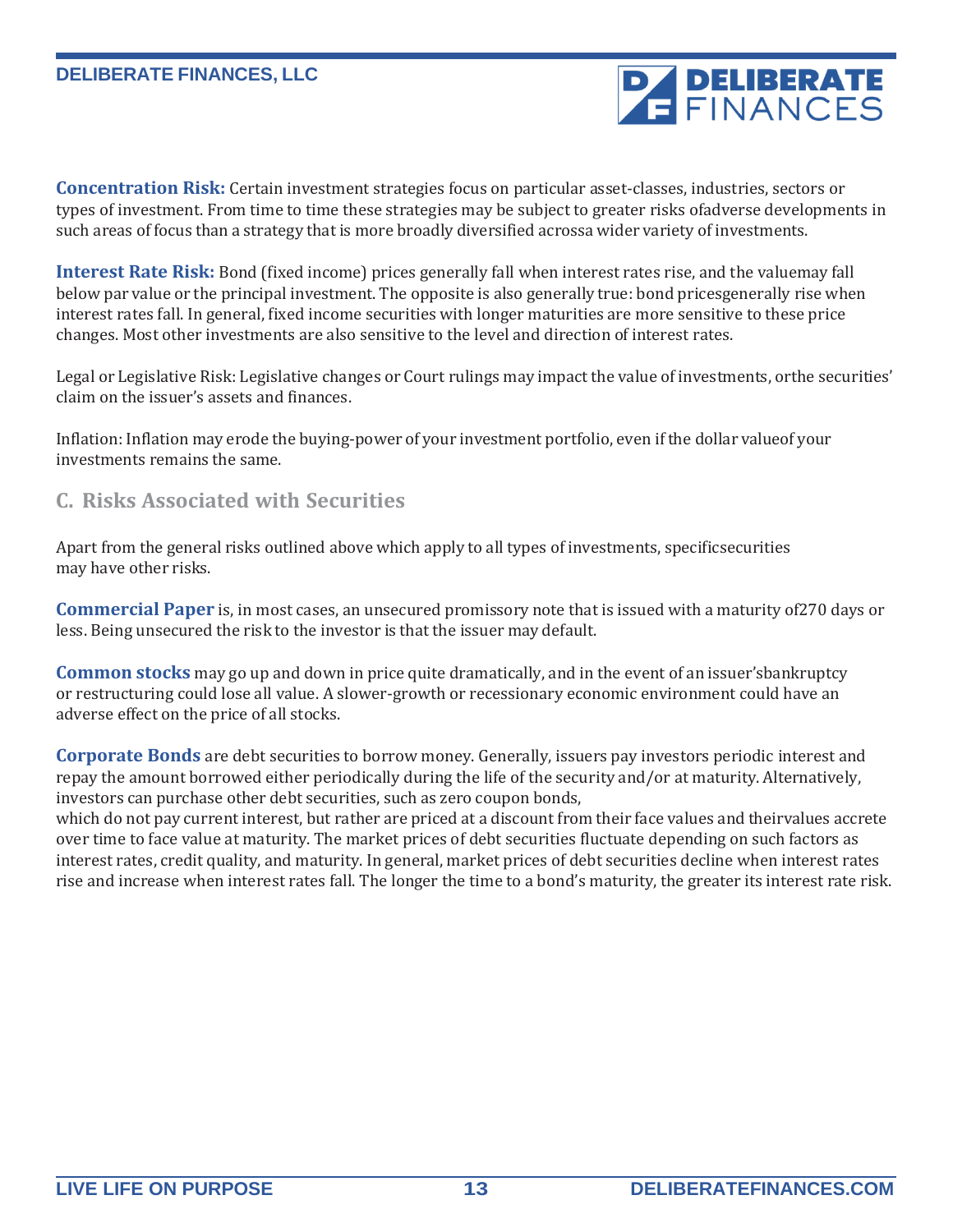

**Concentration Risk:** Certain investment strategies focus on particular asset-classes, industries, sectors or types of investment. From time to time these strategies may be subject to greater risks ofadverse developments in such areas of focus than a strategy that is more broadly diversified acrossa wider variety of investments.

**Interest Rate Risk:** Bond (fixed income) prices generally fall when interest rates rise, and the valuemay fall below par value or the principal investment. The opposite is also generally true: bond pricesgenerally rise when interest rates fall. In general, fixed income securities with longer maturities are more sensitive to these price changes. Most other investments are also sensitive to the level and direction of interest rates.

Legal or Legislative Risk: Legislative changes or Court rulings may impact the value of investments, orthe securities' claim on the issuer's assets and finances.

Inflation: Inflation may erode the buying-power of your investment portfolio, even ifthe dollar valueof your investments remains the same.

### **C. Risks Associated with Securities**

Apart from the general risks outlined above which apply to all types of investments, specificsecurities may have other risks.

**Commercial Paper** is, in most cases, an unsecured promissory note that is issued with a maturity of270 days or less. Being unsecured the risk to the investor is that the issuer may default.

**Common stocks** may go up and down in price quite dramatically, and in the event of an issuer'sbankruptcy or restructuring could lose all value. A slower-growth or recessionary economic environment could have an adverse effect on the price of all stocks.

**Corporate Bonds** are debt securities to borrow money. Generally, issuers pay investors periodic interest and repay the amount borrowed either periodically during the life of the security and/or at maturity. Alternatively, investors can purchase other debt securities, such as zero coupon bonds,

which do not pay current interest, but rather are priced at a discount from their face values and theirvalues accrete over time to face value at maturity. The market prices of debt securities fluctuate depending on such factors as interest rates, credit quality, and maturity. In general, market prices of debt securities decline when interest rates rise and increase when interest rates fall. The longer the time to a bond's maturity, the greater its interest rate risk.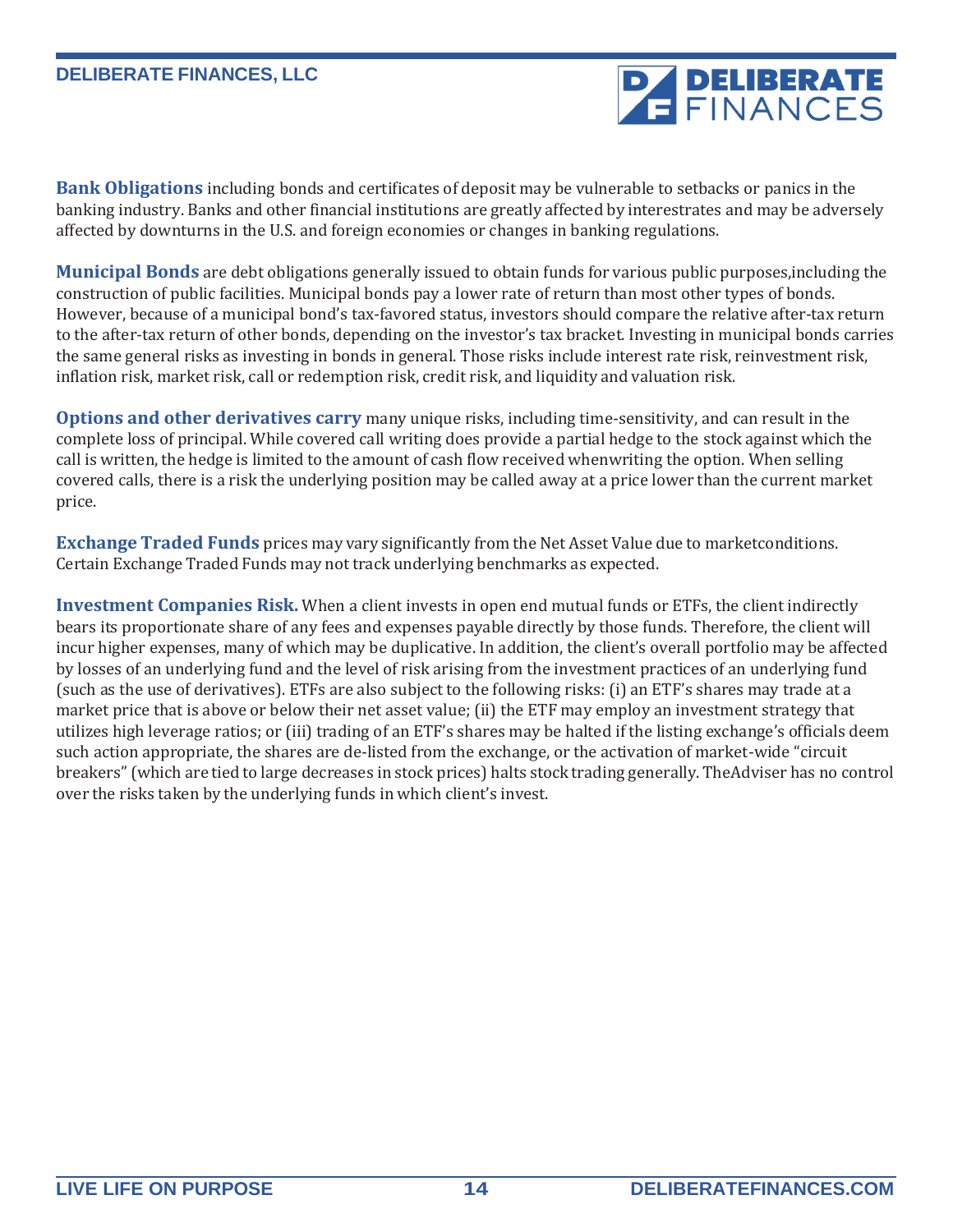**Bank Obligations** including bonds and certificates of deposit may be vulnerable to setbacks or panics in the banking industry. Banks and other financial institutions are greatly affected by interestrates and may be adversely affected by downturns in the U.S. and foreign economies or changes in banking regulations.

**Municipal Bonds** are debt obligations generally issued to obtain funds for various public purposes,including the construction of public facilities. Municipal bonds pay a lower rate of return than most other types of bonds. However, because of a municipal bond's tax-favored status, investors should compare the relative after-tax return to the after-tax return of other bonds, depending on the investor's tax bracket. Investing in municipal bonds carries the same general risks as investing in bonds in general. Those risks include interest rate risk, reinvestment risk, inflation risk, market risk, call or redemption risk, credit risk, and liquidity and valuation risk.

**Options and other derivatives carry** many unique risks, including time-sensitivity, and can result in the complete loss of principal. While covered call writing does provide a partial hedge to the stock against which the call is written, the hedge is limited to the amount of cash flow received whenwriting the option. When selling covered calls, there is a risk the underlying position may be called away at a price lower than the current market price.

**Exchange Traded Funds** prices may vary significantly from the Net Asset Value due to marketconditions. Certain Exchange Traded Funds may not track underlying benchmarks as expected.

**Investment Companies Risk.** When a client invests in open end mutual funds or ETFs, the client indirectly bears its proportionate share of any fees and expenses payable directly by those funds. Therefore, the client will incur higher expenses, many of which may be duplicative. In addition, the client's overall portfolio may be affected by losses of an underlying fund and the level of risk arising from the investment practices of an underlying fund (such as the use of derivatives). ETFs are also subject to the following risks: (i) an ETF's shares may trade at a market price that is above or below their net asset value; (ii) the ETF may employ an investment strategy that utilizes high leverage ratios; or (iii) trading of an ETF's shares may be halted if the listing exchange's officials deem such action appropriate, the shares are de-listed from the exchange, or the activation of market-wide "circuit breakers" (which are tied to large decreases in stock prices) halts stock trading generally. TheAdviser has no control over the risks taken by the underlying funds in which client's invest.

**PA DELIBERATE**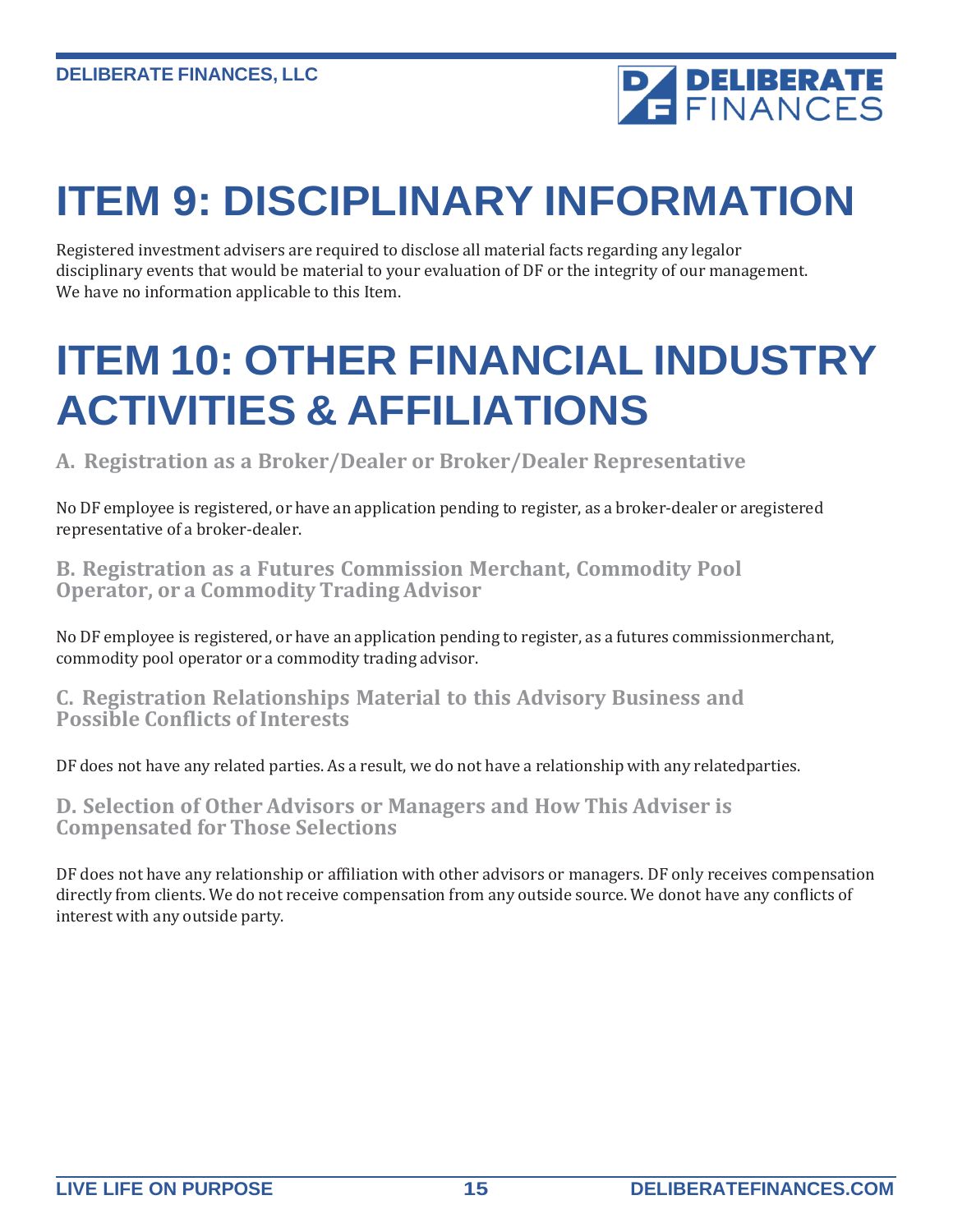

# <span id="page-14-0"></span>**ITEM 9: DISCIPLINARY INFORMATION**

Registered investment advisers are required to disclose all material facts regarding any legalor disciplinary events that would be material to your evaluation of DF or the integrity of our management. We have no information applicable to this Item.

# <span id="page-14-1"></span>**ITEM 10: OTHER FINANCIAL INDUSTRY ACTIVITIES & AFFILIATIONS**

**A. Registration as a Broker/Dealer or Broker/Dealer Representative**

No DF employee is registered, or have an application pending to register, as a broker-dealer or aregistered representative of a broker-dealer.

**B. Registration as a Futures Commission Merchant, Commodity Pool Operator, or a Commodity Trading Advisor**

No DF employee is registered, or have an application pending to register, as a futures commissionmerchant, commodity pool operator or a commodity trading advisor.

**C. Registration Relationships Material to this Advisory Business and Possible Conflicts of Interests**

DF does not have any related parties. As a result, we do not have a relationship with any relatedparties.

**D. Selection of Other Advisors or Managers and How This Adviser is Compensated for Those Selections**

DF does not have any relationship or affiliation with other advisors or managers. DF only receives compensation directly from clients. We do not receive compensation from any outside source. We donot have any conflicts of interest with any outside party.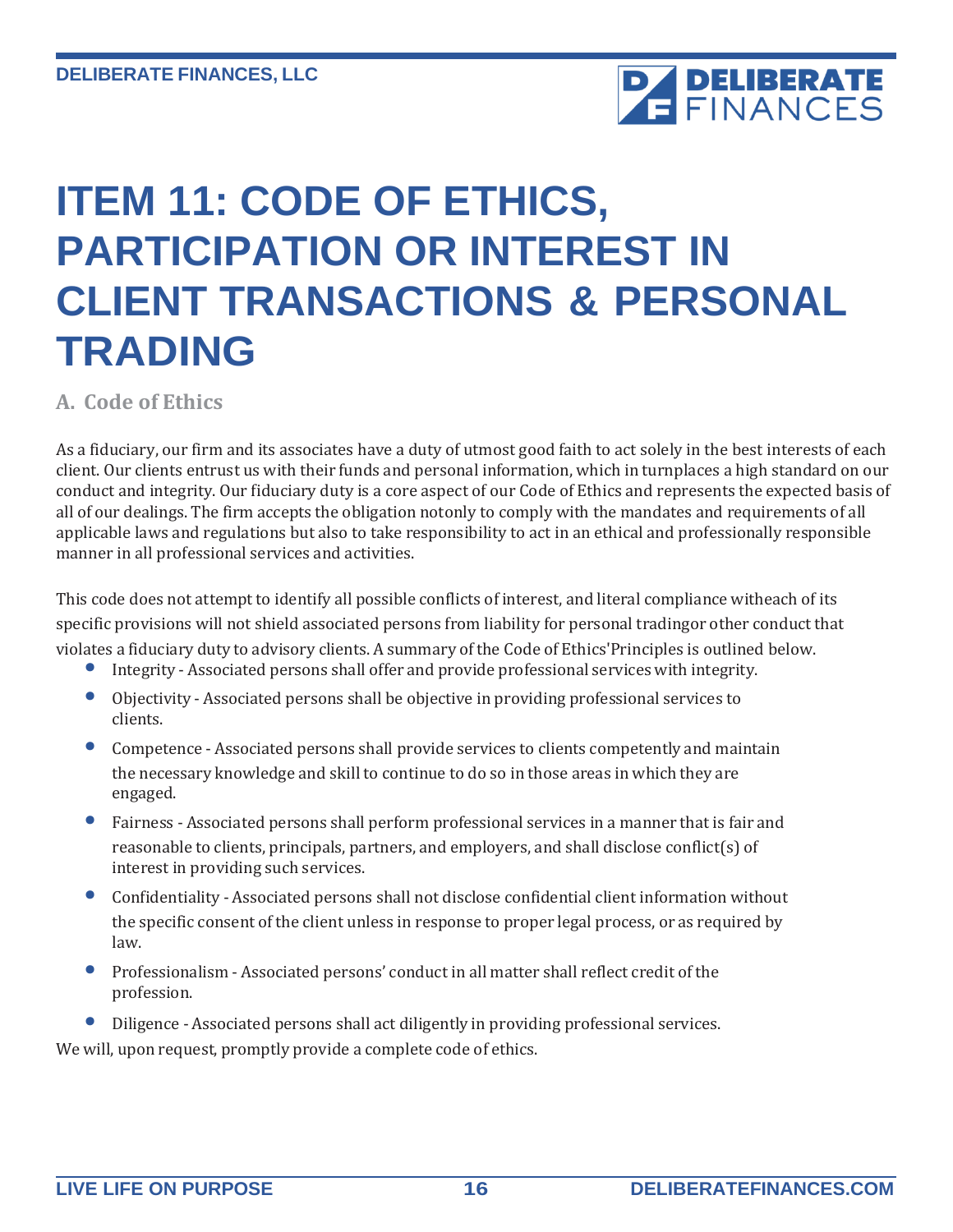

# <span id="page-15-0"></span>**ITEM 11: CODE OF ETHICS, PARTICIPATION OR INTEREST IN CLIENT TRANSACTIONS & PERSONAL TRADING**

**A. Code of Ethics**

As a fiduciary, our firm and its associates have a duty of utmost good faith to act solely in the best interests of each client. Our clients entrust us with their funds and personal information, which in turnplaces a high standard on our conduct and integrity. Our fiduciary duty is a core aspect of our Code of Ethics and represents the expected basis of all of our dealings. The firm accepts the obligation notonly to comply with the mandates and requirements of all applicable laws and regulations but also to take responsibility to act in an ethical and professionally responsible manner in all professional services and activities.

This code does not attempt to identify all possible conflicts of interest, and literal compliance witheach of its specific provisions will not shield associated persons from liability for personal tradingor other conduct that violates a fiduciary duty to advisory clients. A summary of the Code of Ethics'Principles is outlined below.

- Integrity Associated persons shall offer and provide professional services with integrity.
- Objectivity Associated persons shall be objective in providing professional services to clients.
- Competence Associated persons shall provide services to clients competently and maintain the necessary knowledge and skill to continue to do so in those areas in which they are engaged.
- Fairness Associated persons shall perform professional services in <sup>a</sup> manner that is fair and reasonable to clients, principals, partners, and employers, and shall disclose conflict(s) of interest in providing such services.
- Confidentiality Associated persons shall not disclose confidential client information without the specific consent ofthe client unless in response to proper legal process, or as required by law.
- Professionalism Associated persons' conduct in all matter shall reflect credit ofthe profession.
- Diligence Associated persons shall act diligently in providing professional services.

We will, upon request, promptly provide a complete code of ethics.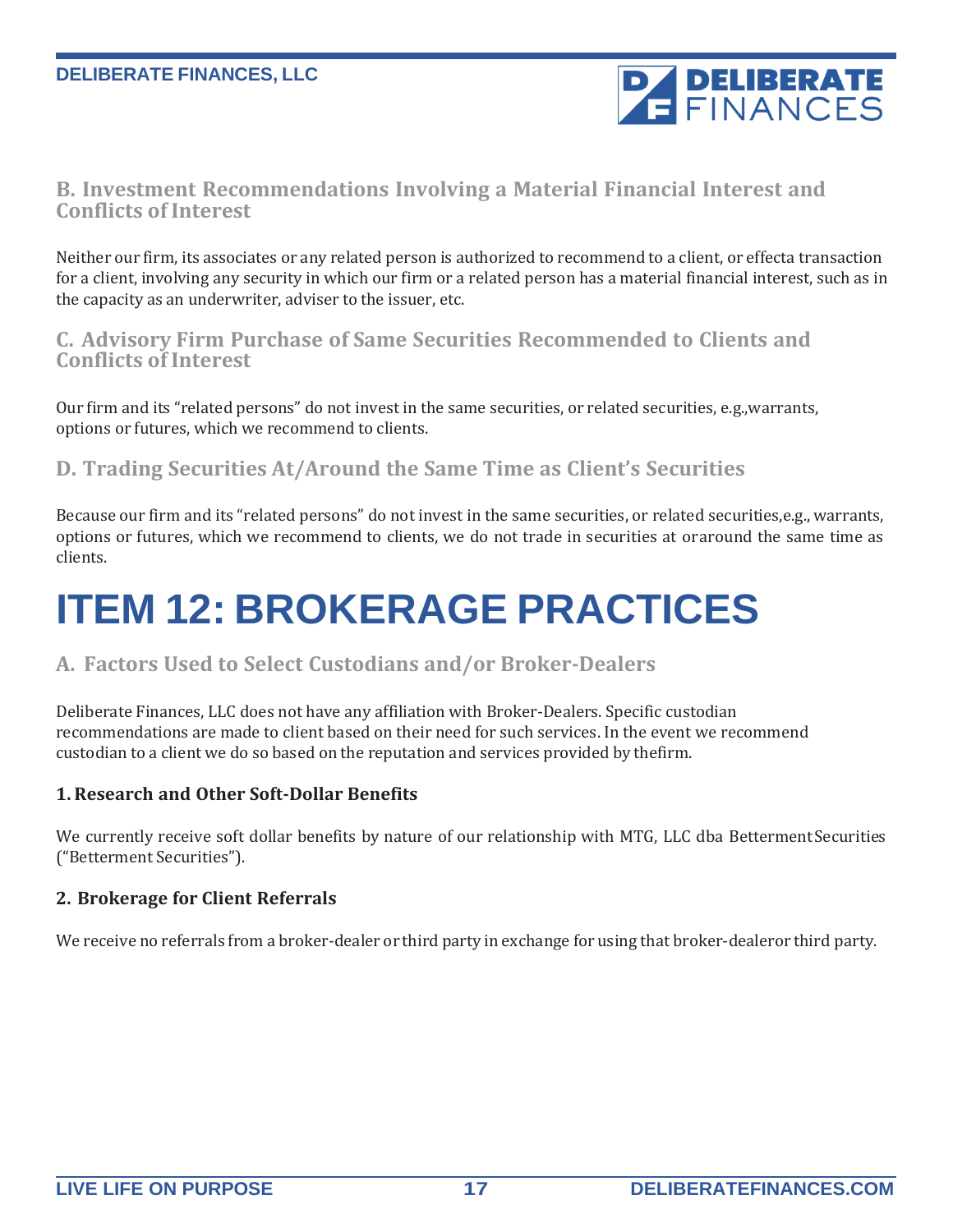

### **B. Investment Recommendations Involving a Material Financial Interest and Conflicts of Interest**

Neither our firm, its associates or any related person is authorized to recommend to a client, or effecta transaction for a client, involving any security in which our firm or a related person has a material financial interest, such as in the capacity as an underwriter, adviser to the issuer, etc.

### **C. Advisory Firm Purchase of Same Securities Recommended to Clients and Conflicts of Interest**

Our firm and its "related persons" do not invest in the same securities, or related securities, e.g.,warrants, options or futures, which we recommend to clients.

### **D. Trading Securities At/Around the Same Time as Client's Securities**

Because our firm and its "related persons" do not invest in the same securities, or related securities,e.g., warrants, options or futures, which we recommend to clients, we do not trade in securities at oraround the same time as clients.

# <span id="page-16-0"></span>**ITEM 12: BROKERAGE PRACTICES**

### **A. Factors Used to Select Custodians and/or Broker-Dealers**

Deliberate Finances, LLC does not have any affiliation with Broker-Dealers. Specific custodian recommendations are made to client based on their need for such services. In the event we recommend custodian to a client we do so based on the reputation and services provided by thefirm.

#### **1. Research and Other Soft-Dollar Benefits**

We currently receive soft dollar benefits by nature of our relationship with MTG, LLC dba Betterment Securities ("Betterment Securities").

#### **2. Brokerage for Client Referrals**

We receive no referrals from a broker-dealer or third party in exchange for using that broker-dealeror third party.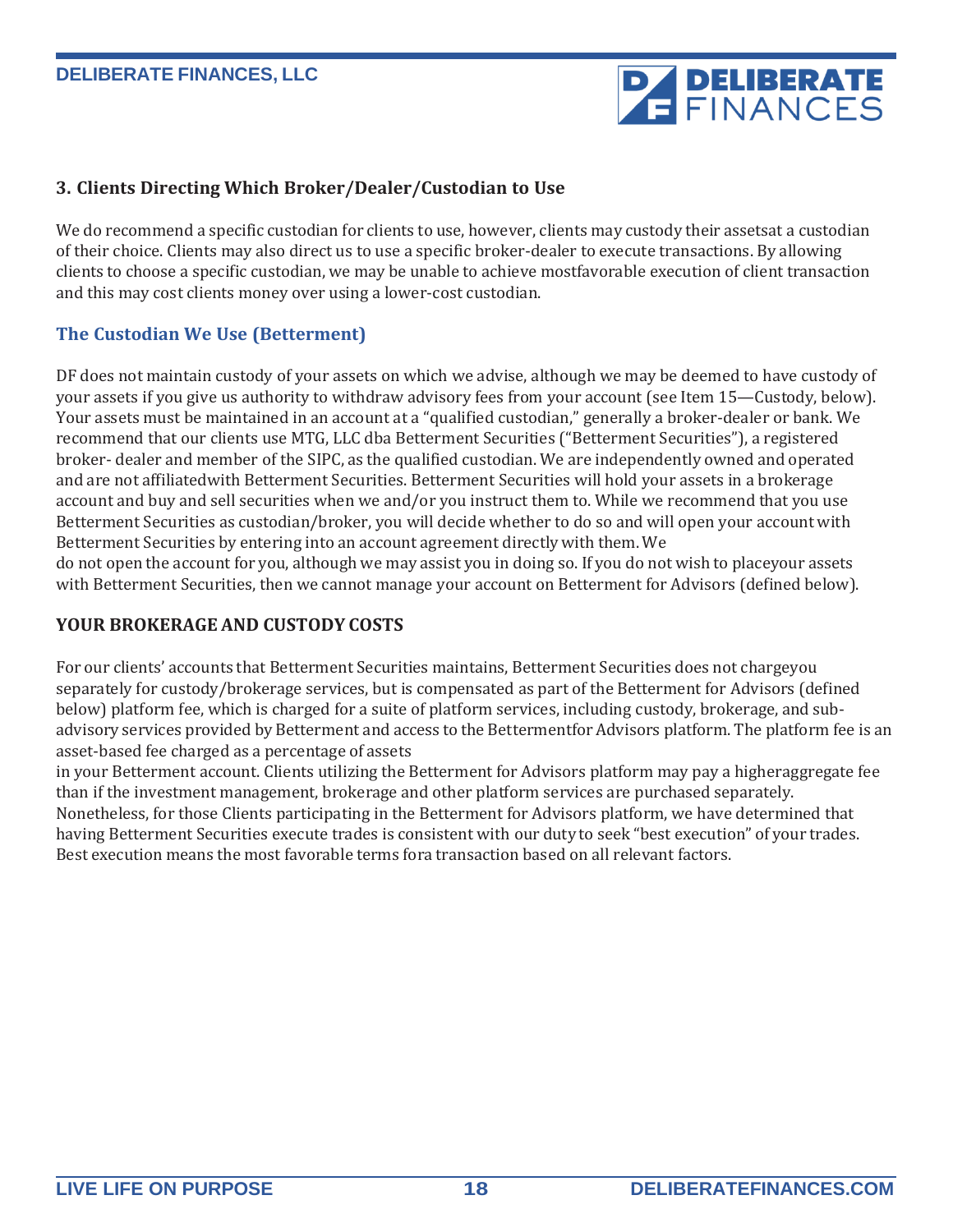# **PA DELIBERATE**

#### **3. Clients Directing Which Broker/Dealer/Custodian to Use**

We do recommend a specific custodian for clients to use, however, clients may custody their assetsat a custodian of their choice. Clients may also direct us to use a specific broker-dealer to execute transactions. By allowing clients to choose a specific custodian, we may be unable to achieve mostfavorable execution of client transaction and this may cost clients money over using a lower-cost custodian.

### **The Custodian We Use (Betterment)**

DF does not maintain custody of your assets on which we advise, although we may be deemed to have custody of your assets if you give us authority to withdraw advisory fees from your account (see Item 15—Custody, below). Your assets must be maintained in an account at a "qualified custodian," generally a broker-dealer or bank. We recommend that our clients use MTG, LLC dba Betterment Securities ("Betterment Securities"), a registered broker- dealer and member of the SIPC, as the qualified custodian. We are independently owned and operated and are not affiliatedwith Betterment Securities. Betterment Securities will hold your assets in a brokerage account and buy and sell securities when we and/or you instruct them to. While we recommend that you use Betterment Securities as custodian/broker, you will decide whether to do so and will open your account with Betterment Securities by entering into an account agreement directly with them. We do not open the account for you, although we may assist you in doing so. If you do not wish to placeyour assets with Betterment Securities, then we cannot manage your account on Betterment for Advisors (defined below).

#### **YOUR BROKERAGE AND CUSTODY COSTS**

For our clients' accounts that Betterment Securities maintains, Betterment Securities does not chargeyou separately for custody/brokerage services, but is compensated as part of the Betterment for Advisors (defined below) platform fee, which is charged for a suite of platform services, including custody, brokerage, and subadvisory services provided by Betterment and access to the Bettermentfor Advisors platform. The platform fee is an asset-based fee charged as a percentage of assets

in your Betterment account. Clients utilizing the Betterment for Advisors platform may pay a higheraggregate fee than if the investment management, brokerage and other platform services are purchased separately. Nonetheless, for those Clients participating in the Betterment for Advisors platform, we have determined that having Betterment Securities execute trades is consistent with our duty to seek "best execution" of your trades. Best execution means the most favorable terms fora transaction based on all relevant factors.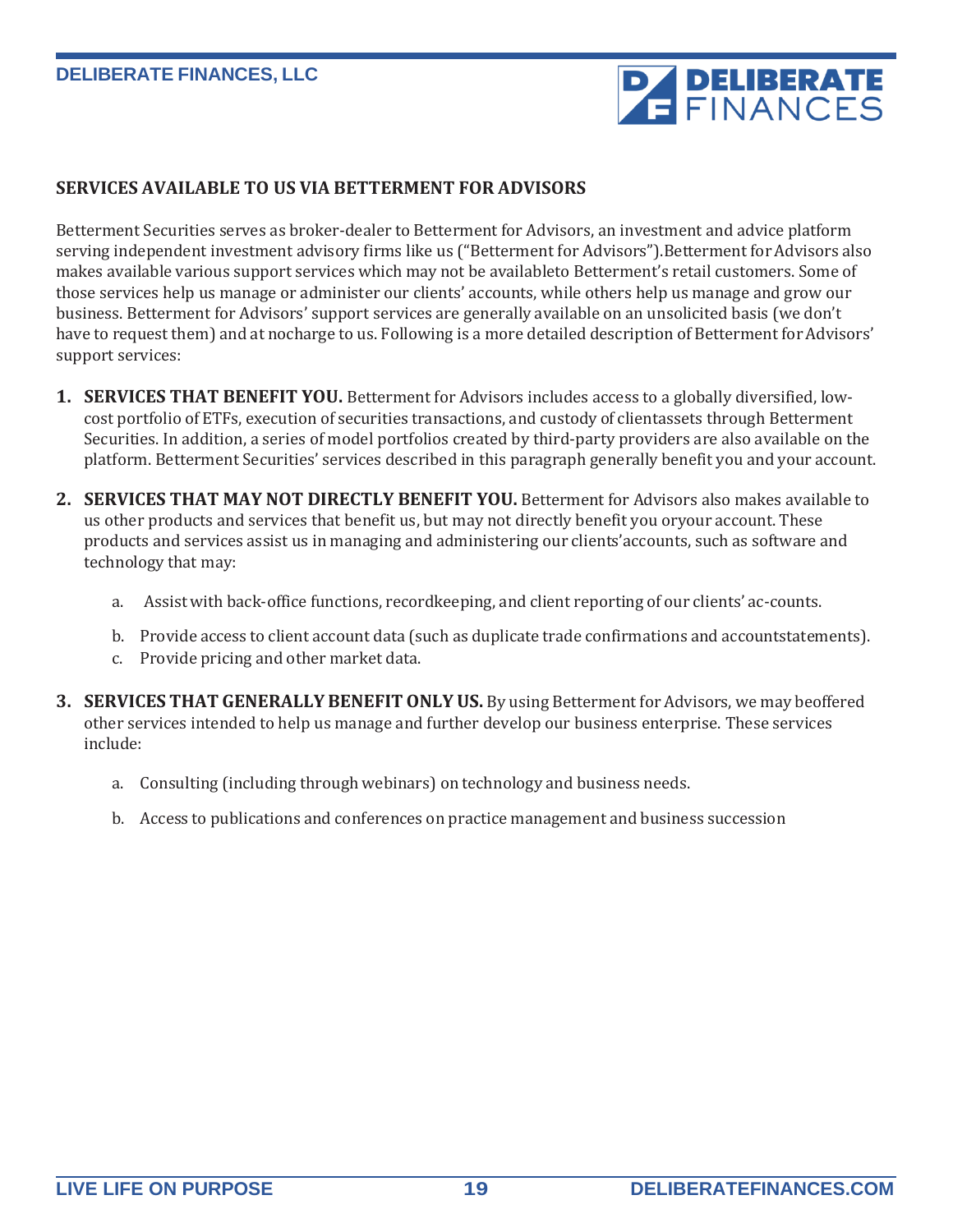# **PAPELIBERATE**

#### **SERVICES AVAILABLE TO US VIA BETTERMENT FOR ADVISORS**

Betterment Securities serves as broker-dealer to Betterment for Advisors, an investment and advice platform serving independent investment advisory firms like us ("Betterment for Advisors"). Betterment for Advisors also makes available various support services which may not be availableto Betterment's retail customers. Some of those services help us manage or administer our clients' accounts, while others help us manage and grow our business. Betterment for Advisors' support services are generally available on an unsolicited basis (we don't have to request them) and at nocharge to us. Following is a more detailed description of Betterment for Advisors' support services:

- **1. SERVICES THAT BENEFIT YOU.** Betterment for Advisors includes access to a globally diversified, lowcost portfolio of ETFs, execution of securities transactions, and custody of clientassets through Betterment Securities. In addition, a series of model portfolios created by third-party providers are also available on the platform. Betterment Securities' services described in this paragraph generally benefit you and your account.
- **2. SERVICES THAT MAY NOT DIRECTLY BENEFIT YOU.** Betterment for Advisors also makes available to us other products and services that benefit us, but may not directly benefit you oryour account. These products and services assist us in managing and administering our clients'accounts, such as software and technology that may:
	- a. Assist with back-office functions, recordkeeping, and client reporting of our clients' ac-counts.
	- b. Provide access to client account data (such as duplicate trade confirmations and accountstatements).
	- c. Provide pricing and other market data.
- **3. SERVICES THAT GENERALLY BENEFIT ONLY US.** By using Betterment for Advisors, we may beoffered other services intended to help us manage and further develop our business enterprise. These services include:
	- a. Consulting (including through webinars) on technology and business needs.
	- b. Access to publications and conferences on practice management and business succession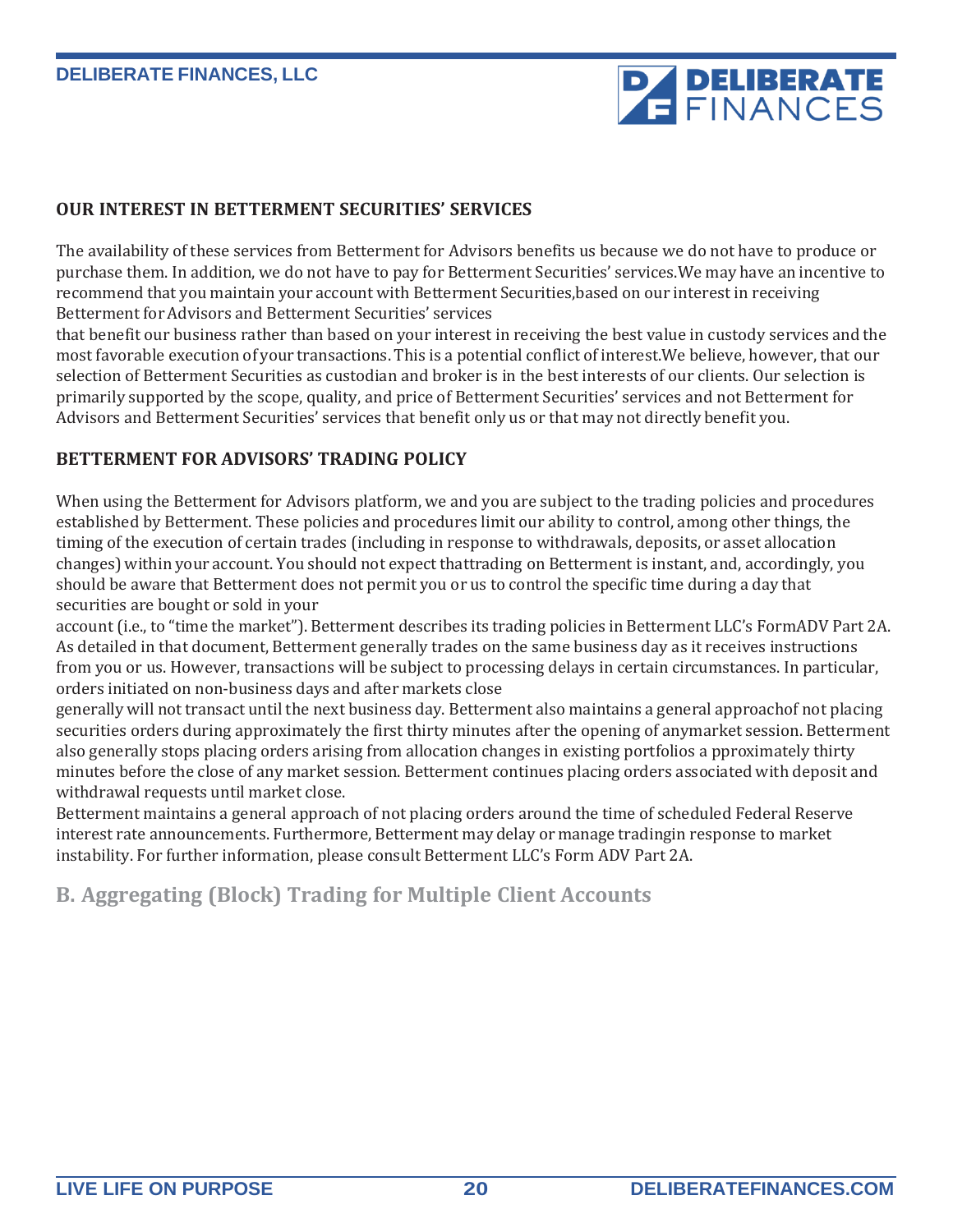

#### **OUR INTEREST IN BETTERMENT SECURITIES' SERVICES**

The availability of these services from Betterment for Advisors benefits us because we do not have to produce or purchase them. In addition, we do not have to pay for Betterment Securities' services.We may have an incentive to recommend that you maintain your account with Betterment Securities,based on our interest in receiving Betterment for Advisors and Betterment Securities' services

that benefit our business rather than based on your interest in receiving the best value in custody services and the most favorable execution of your transactions. This is a potential conflict of interest.We believe, however, that our selection of Betterment Securities as custodian and broker is in the best interests of our clients. Our selection is primarily supported by the scope, quality, and price of Betterment Securities' services and not Betterment for Advisors and Betterment Securities' services that benefit only us or that may not directly benefit you.

#### **BETTERMENT FOR ADVISORS' TRADING POLICY**

When using the Betterment for Advisors platform, we and you are subject to the trading policies and procedures established by Betterment. These policies and procedures limit our ability to control, among other things, the timing of the execution of certain trades (including in response to withdrawals, deposits, or asset allocation changes) within your account. You should not expect thattrading on Betterment is instant, and, accordingly, you should be aware that Betterment does not permit you or us to control the specific time during a day that securities are bought or sold in your

account (i.e., to "time the market"). Betterment describes its trading policies in Betterment LLC's FormADV Part 2A. As detailed in that document, Betterment generally trades on the same business day as it receives instructions from you or us. However, transactions will be subject to processing delays in certain circumstances. In particular, orders initiated on non-business days and after markets close

generally will not transact until the next business day. Betterment also maintains a general approachof not placing securities orders during approximately the first thirty minutes after the opening of anymarket session. Betterment also generally stops placing orders arising from allocation changes in existing portfolios a pproximately thirty minutes before the close of any market session. Betterment continues placing orders associated with deposit and withdrawal requests until market close.

Betterment maintains a general approach of not placing orders around the time of scheduled Federal Reserve interest rate announcements. Furthermore, Betterment may delay or manage tradingin response to market instability. For further information, please consult Betterment LLC's Form ADV Part 2A.

### **B. Aggregating (Block) Trading for Multiple Client Accounts**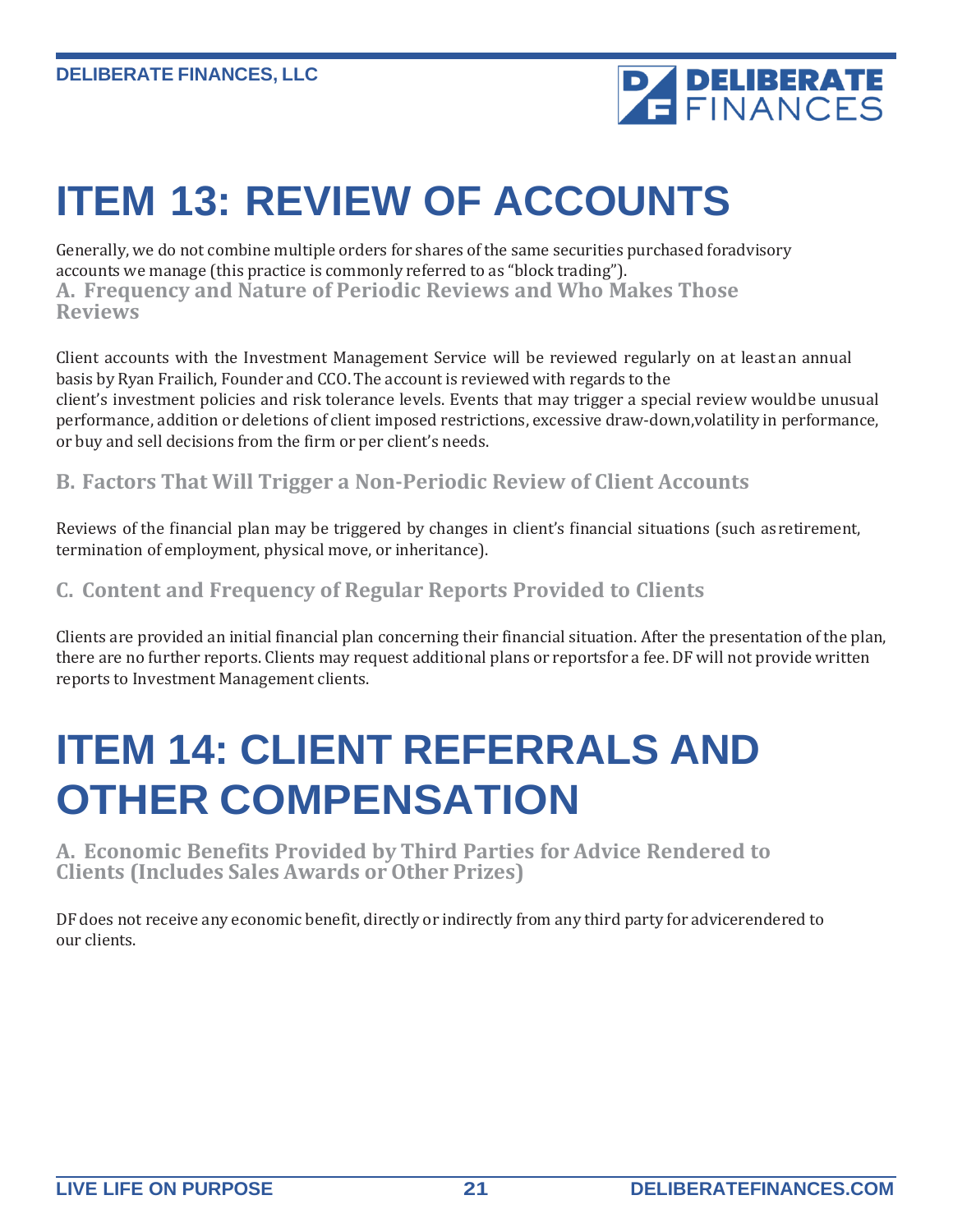

### <span id="page-20-0"></span>**ITEM 13: REVIEW OF ACCOUNTS**

Generally, we do not combine multiple orders for shares ofthe same securities purchased foradvisory accounts we manage (this practice is commonly referred to as "block trading"). **A. Frequency and Nature of Periodic Reviews and Who Makes Those Reviews**

Client accounts with the Investment Management Service will be reviewed regularly on at least an annual basis by Ryan Frailich, Founder and CCO. The account is reviewed with regards to the client's investment policies and risk tolerance levels. Events that may trigger a special review wouldbe unusual performance, addition or deletions of client imposed restrictions, excessive draw-down,volatility in performance, or buy and sell decisions from the firm or per client's needs.

**B. Factors That Will Trigger a Non-Periodic Review of Client Accounts**

Reviews of the financial plan may be triggered by changes in client's financial situations (such asretirement, termination of employment, physical move, or inheritance).

### **C. Content and Frequency of Regular Reports Provided to Clients**

Clients are provided an initial financial plan concerning their financial situation. After the presentation ofthe plan, there are no further reports. Clients may request additional plans or reportsfor a fee. DF will not provide written reports to Investment Management clients.

### <span id="page-20-1"></span>**ITEM 14: CLIENT REFERRALS AND OTHER COMPENSATION**

**A. Economic Benefits Provided by Third Parties for Advice Rendered to Clients (Includes Sales Awards or Other Prizes)**

DF does not receive any economic benefit, directly or indirectly from any third party for advicerendered to our clients.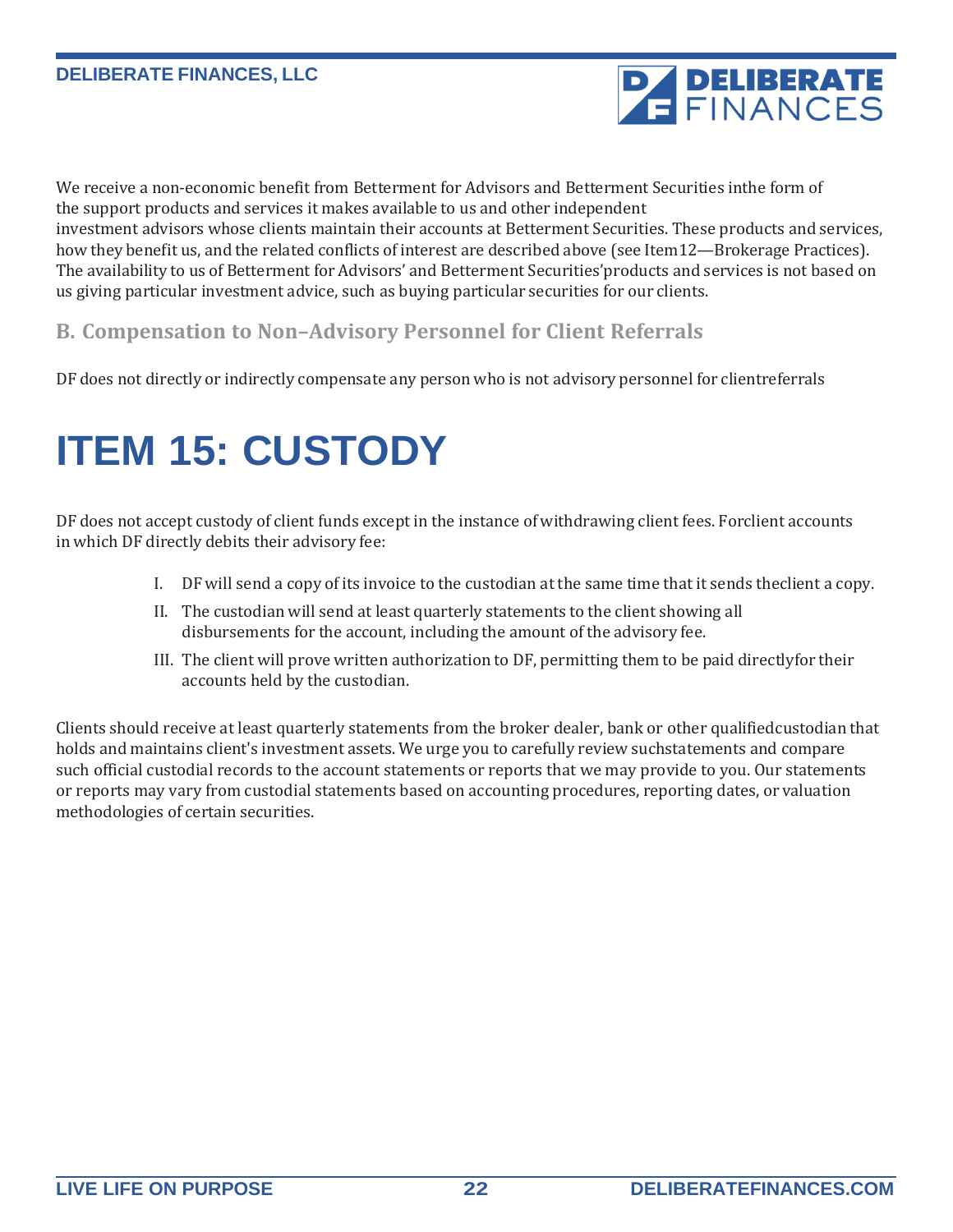

We receive a non-economic benefit from Betterment for Advisors and Betterment Securities inthe form of the support products and services it makes available to us and other independent investment advisors whose clients maintain their accounts at Betterment Securities. These products and services, how they benefit us, and the related conflicts of interest are described above (see Item12—Brokerage Practices). The availability to us of Betterment for Advisors' and Betterment Securities' products and services is not based on us giving particular investment advice, such as buying particular securities for our clients.

### **B. Compensation to Non–Advisory Personnel for Client Referrals**

DF does not directly or indirectly compensate any person who is not advisory personnel for clientreferrals

# <span id="page-21-0"></span>**ITEM 15: CUSTODY**

DF does not accept custody of client funds except in the instance ofwithdrawing client fees. Forclient accounts in which DF directly debits their advisory fee:

- I. DF will send a copy of its invoice to the custodian at the same time that it sends theclient a copy.
- II. The custodian will send at least quarterly statements to the client showing all disbursements for the account, including the amount of the advisory fee.
- III. The client will prove written authorization to DF, permitting them to be paid directlyfor their accounts held by the custodian.

Clients should receive at least quarterly statements from the broker dealer, bank or other qualifiedcustodian that holds and maintains client's investment assets. We urge you to carefully review suchstatements and compare such official custodial records to the account statements or reports that we may provide to you. Our statements or reports may vary from custodial statements based on accounting procedures, reporting dates, or valuation methodologies of certain securities.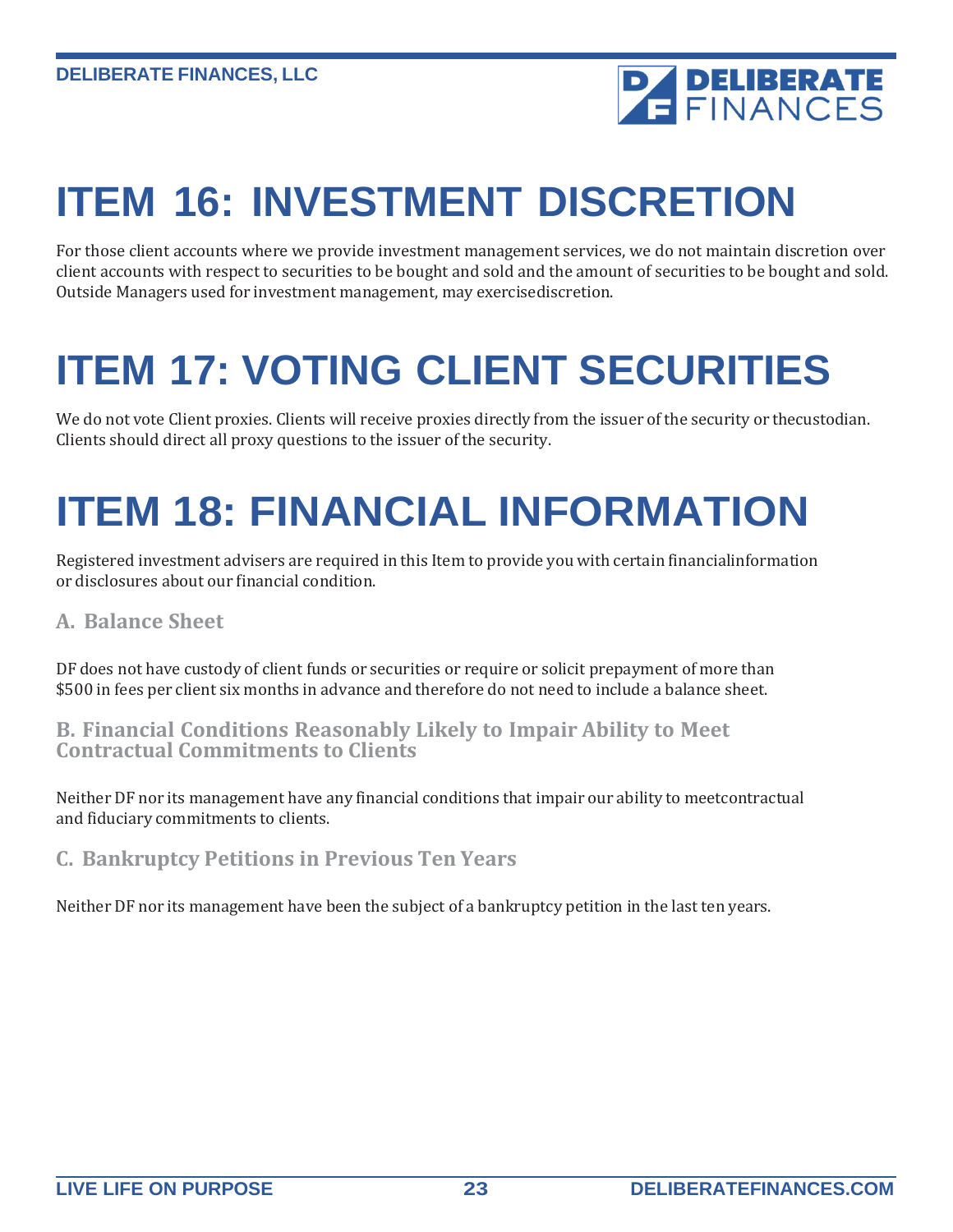

# <span id="page-22-0"></span>**ITEM 16: INVESTMENT DISCRETION**

For those client accounts where we provide investment management services, we do not maintain discretion over client accounts with respect to securities to be bought and sold and the amount of securities to be bought and sold. Outside Managers used for investment management, may exercisediscretion.

# <span id="page-22-1"></span>**ITEM 17: VOTING CLIENT SECURITIES**

We do not vote Client proxies. Clients will receive proxies directly from the issuer of the security or thecustodian. Clients should direct all proxy questions to the issuer of the security.

# <span id="page-22-2"></span>**ITEM 18: FINANCIAL INFORMATION**

Registered investment advisers are required in this Item to provide you with certain financialinformation or disclosures about our financial condition.

### **A. Balance Sheet**

DF does not have custody of client funds or securities or require or solicit prepayment of more than \$500 in fees per client six months in advance and therefore do not need to include a balance sheet.

### **B. Financial Conditions Reasonably Likely to Impair Ability to Meet Contractual Commitments to Clients**

Neither DF nor its management have any financial conditions that impair our ability to meetcontractual and fiduciary commitments to clients.

**C. Bankruptcy Petitions in Previous Ten Years**

Neither DF nor its management have been the subject of a bankruptcy petition in the last ten years.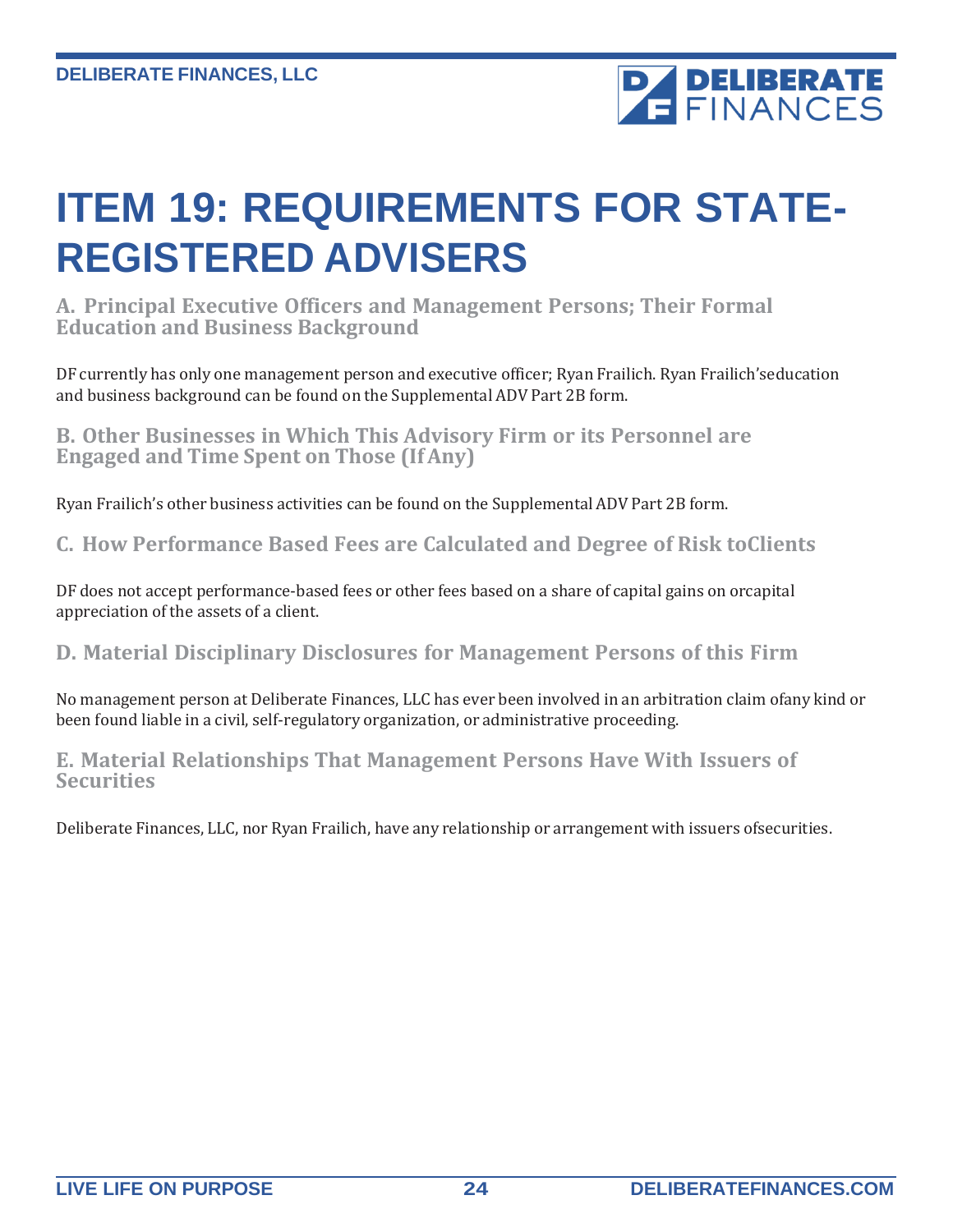

### <span id="page-23-0"></span>**ITEM 19: REQUIREMENTS FOR STATE-REGISTERED ADVISERS**

**A. Principal Executive Officers and Management Persons; Their Formal Education and Business Background**

DF currently has only one management person and executive officer; Ryan Frailich. Ryan Frailich'seducation and business background can be found on the Supplemental ADV Part 2B form.

**B. Other Businesses in Which This Advisory Firm or its Personnel are Engaged and Time Spent on Those (IfAny)**

Ryan Frailich's other business activities can be found on the Supplemental ADV Part 2B form.

**C. How Performance Based Fees are Calculated and Degree of Risk toClients**

DF does not accept performance-based fees or other fees based on a share of capital gains on orcapital appreciation of the assets of a client.

**D. Material Disciplinary Disclosures for Management Persons of this Firm**

No management person at Deliberate Finances, LLC has ever been involved in an arbitration claim ofany kind or been found liable in a civil, self-regulatory organization, or administrative proceeding.

**E. Material Relationships That Management Persons Have With Issuers of Securities**

Deliberate Finances, LLC, nor Ryan Frailich, have any relationship or arrangement with issuers ofsecurities.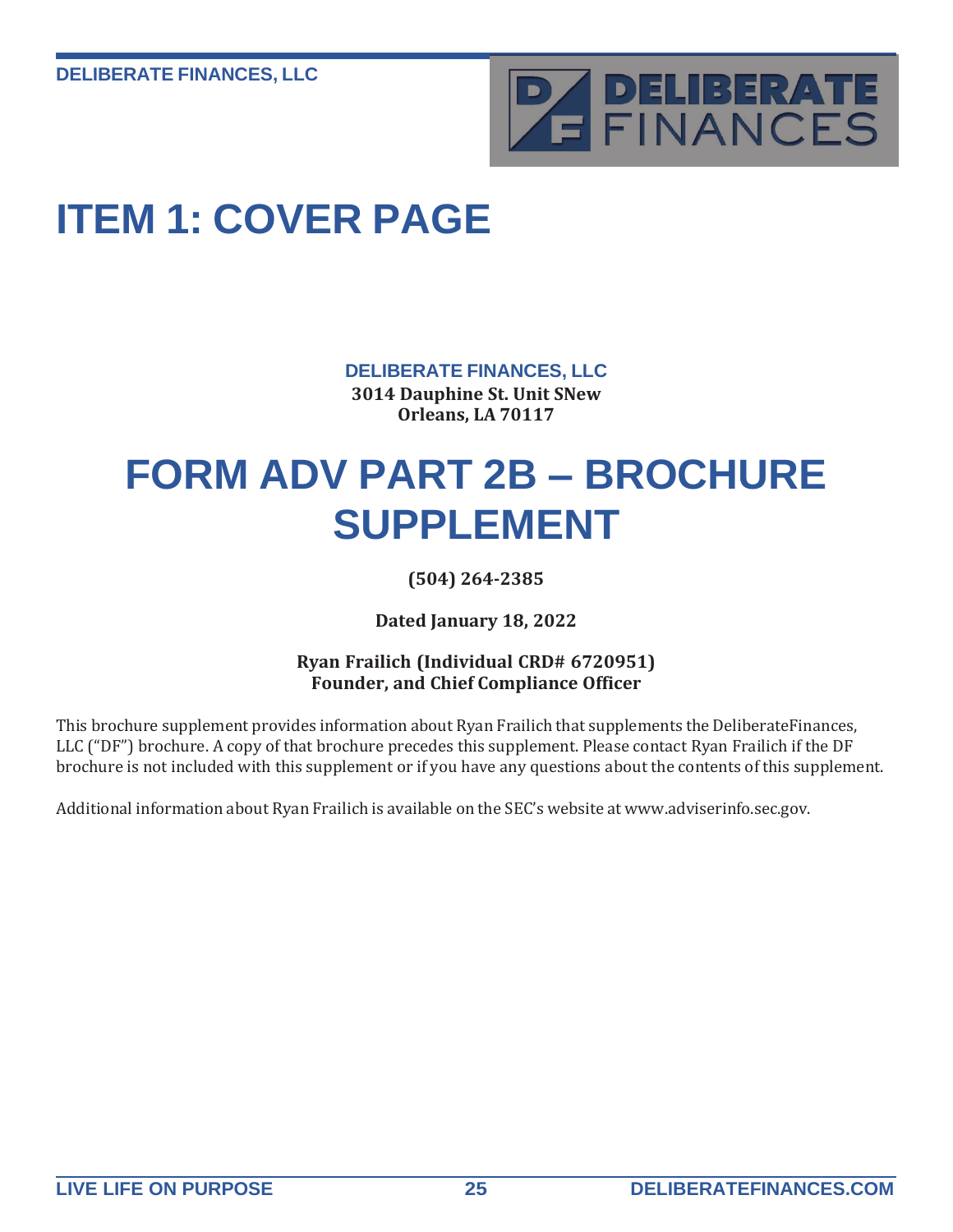

# **ITEM 1: COVER PAGE**

**DELIBERATE FINANCES, LLC**

**3014 Dauphine St. Unit SNew Orleans, LA 70117**

### <span id="page-24-0"></span>**FORM ADV PART 2B – BROCHURE SUPPLEMENT**

**(504) 264-2385**

**Dated January 18, 2022**

### **Ryan Frailich (Individual CRD# 6720951) Founder, and Chief Compliance Officer**

This brochure supplement provides information about Ryan Frailich that supplements the DeliberateFinances, LLC ("DF") brochure. A copy of that brochure precedes this supplement. Please contact Ryan Frailich if the DF brochure is not included with this supplement or if you have any questions about the contents of this supplement.

Additional information about Ryan Frailich is available on the SEC's website at [www.adviserinfo.sec.g](http://www.adviserinfo.sec/)ov.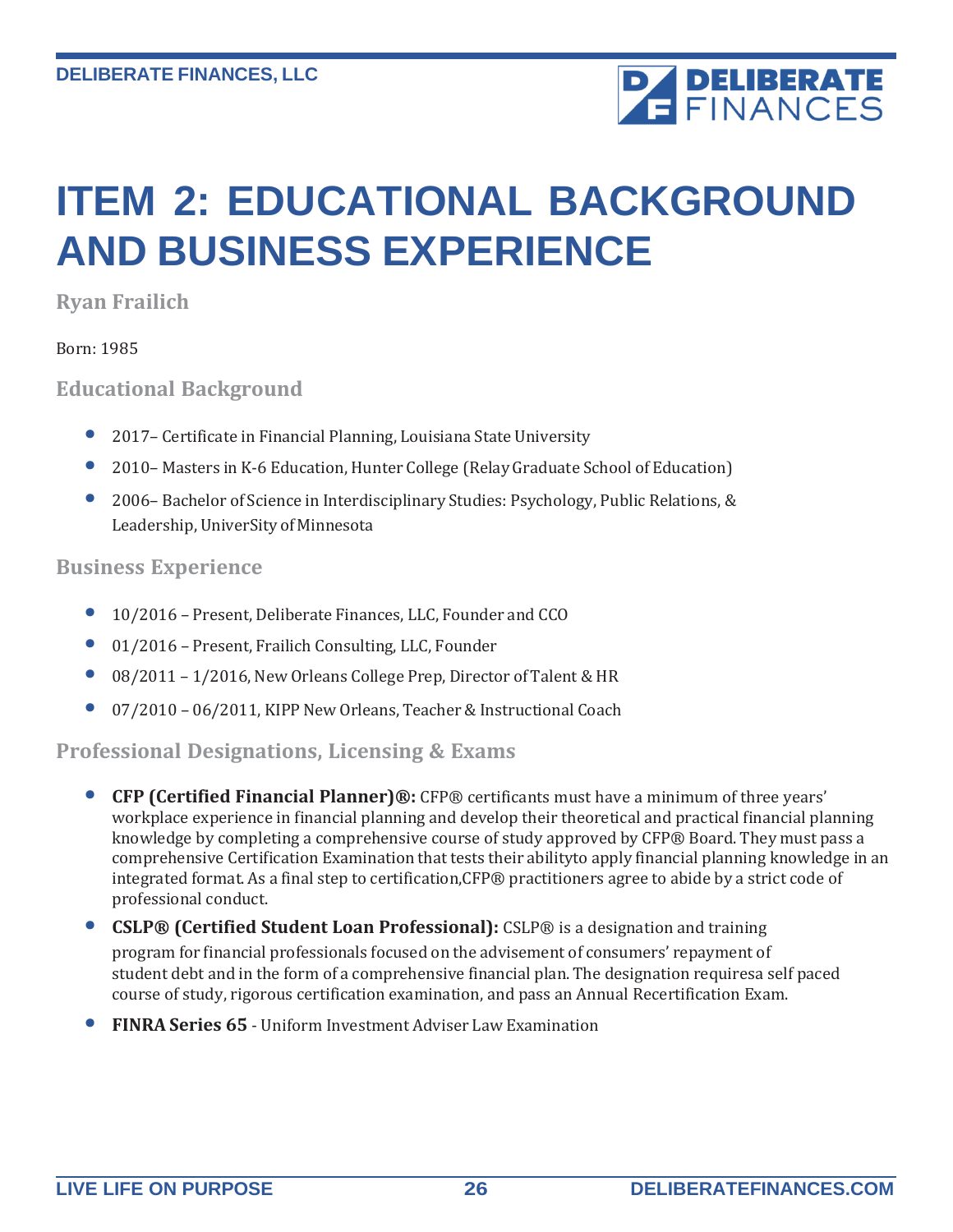# **PA DELIBERATE**

# **ITEM 2: EDUCATIONAL BACKGROUND AND BUSINESS EXPERIENCE**

**Ryan Frailich**

Born: 1985

**Educational Background**

- 2017 Certificate in Financial Planning, Louisiana State University
- <sup>2010</sup> Masters in K-6 Education, Hunter College (Relay Graduate School of Education)
- 2006– Bachelor of Science in Interdisciplinary Studies: Psychology, Public Relations, & Leadership, UniverSity of Minnesota

### **Business Experience**

- 10/2016 Present, Deliberate Finances, LLC, Founder and CCO
- 01/2016 Present, Frailich Consulting, LLC, Founder
- 08/2011 1/2016, New Orleans College Prep, Director of Talent & HR
- 07/2010 06/2011, KIPP New Orleans, Teacher & Instructional Coach

### **Professional Designations, Licensing & Exams**

- **CFP (Certified Financial Planner)®:** CFP® certificants must have <sup>a</sup> minimum of three years' workplace experience in financial planning and develop their theoretical and practical financial planning knowledge by completing a comprehensive course of study approved by CFP® Board. They must pass a comprehensive Certification Examination that tests their abilityto apply financial planning knowledge in an integrated format. As a final step to certification,CFP® practitioners agree to abide by a strict code of professional conduct.
- **CSLP® (Certified Student Loan Professional):** CSLP® is <sup>a</sup> designation and training program for financial professionals focused on the advisement of consumers' repayment of student debt and in the form of a comprehensive financial plan. The designation requiresa self paced course of study, rigorous certification examination, and pass an Annual Recertification Exam.
- **FINRA Series <sup>65</sup>** Uniform Investment Adviser Law Examination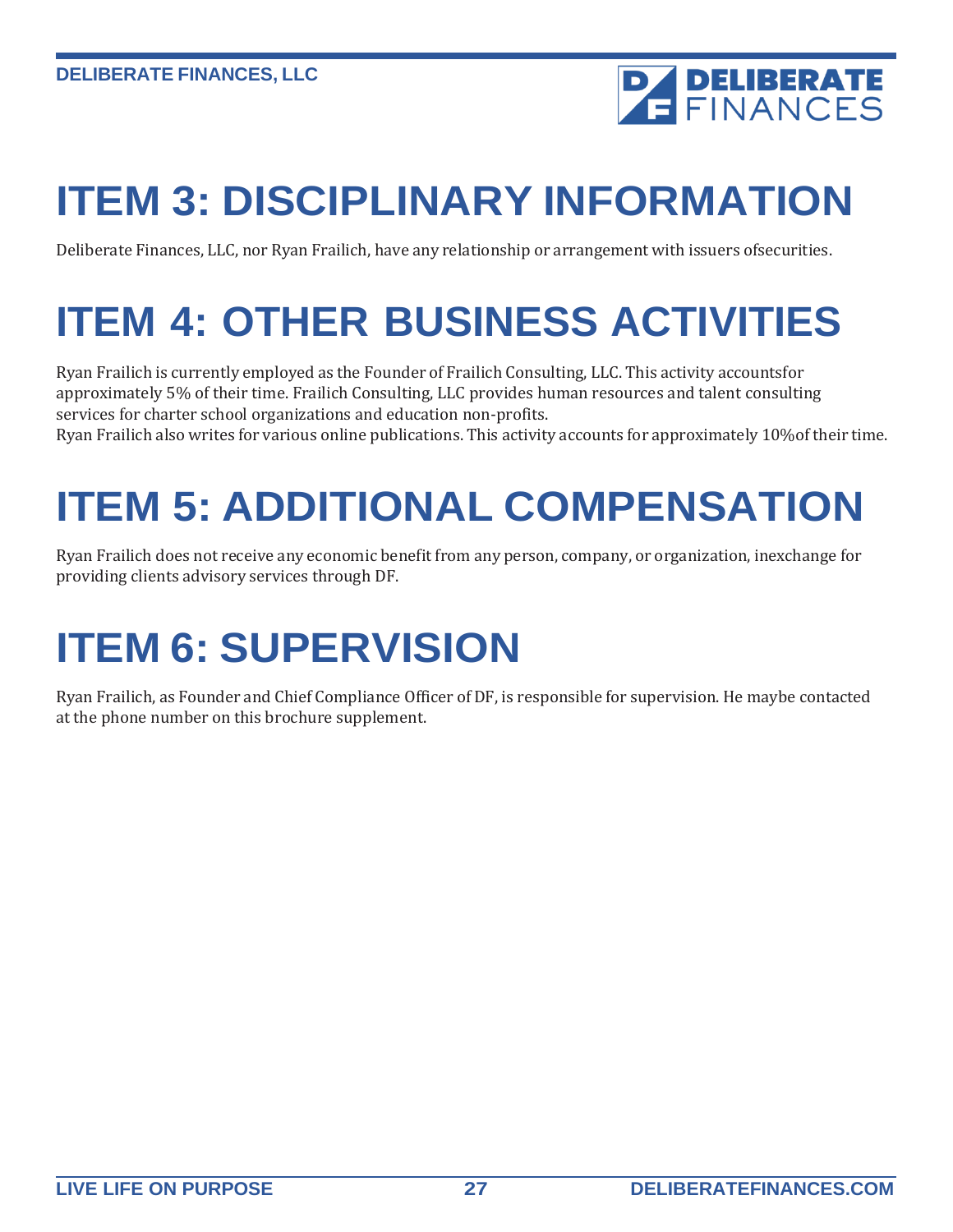

# **ITEM 3: DISCIPLINARY INFORMATION**

Deliberate Finances, LLC, nor Ryan Frailich, have any relationship or arrangement with issuers ofsecurities.

# **ITEM 4: OTHER BUSINESS ACTIVITIES**

Ryan Frailich is currently employed as the Founder of Frailich Consulting, LLC. This activity accountsfor approximately 5% of their time. Frailich Consulting, LLC provides human resources and talent consulting services for charter school organizations and education non-profits.

Ryan Frailich also writes for various online publications. This activity accounts for approximately 10%of their time.

# **ITEM 5: ADDITIONAL COMPENSATION**

Ryan Frailich does not receive any economic benefit from any person, company, or organization, inexchange for providing clients advisory services through DF.

# **ITEM 6: SUPERVISION**

Ryan Frailich, as Founder and Chief Compliance Officer of DF, is responsible for supervision. He maybe contacted at the phone number on this brochure supplement.